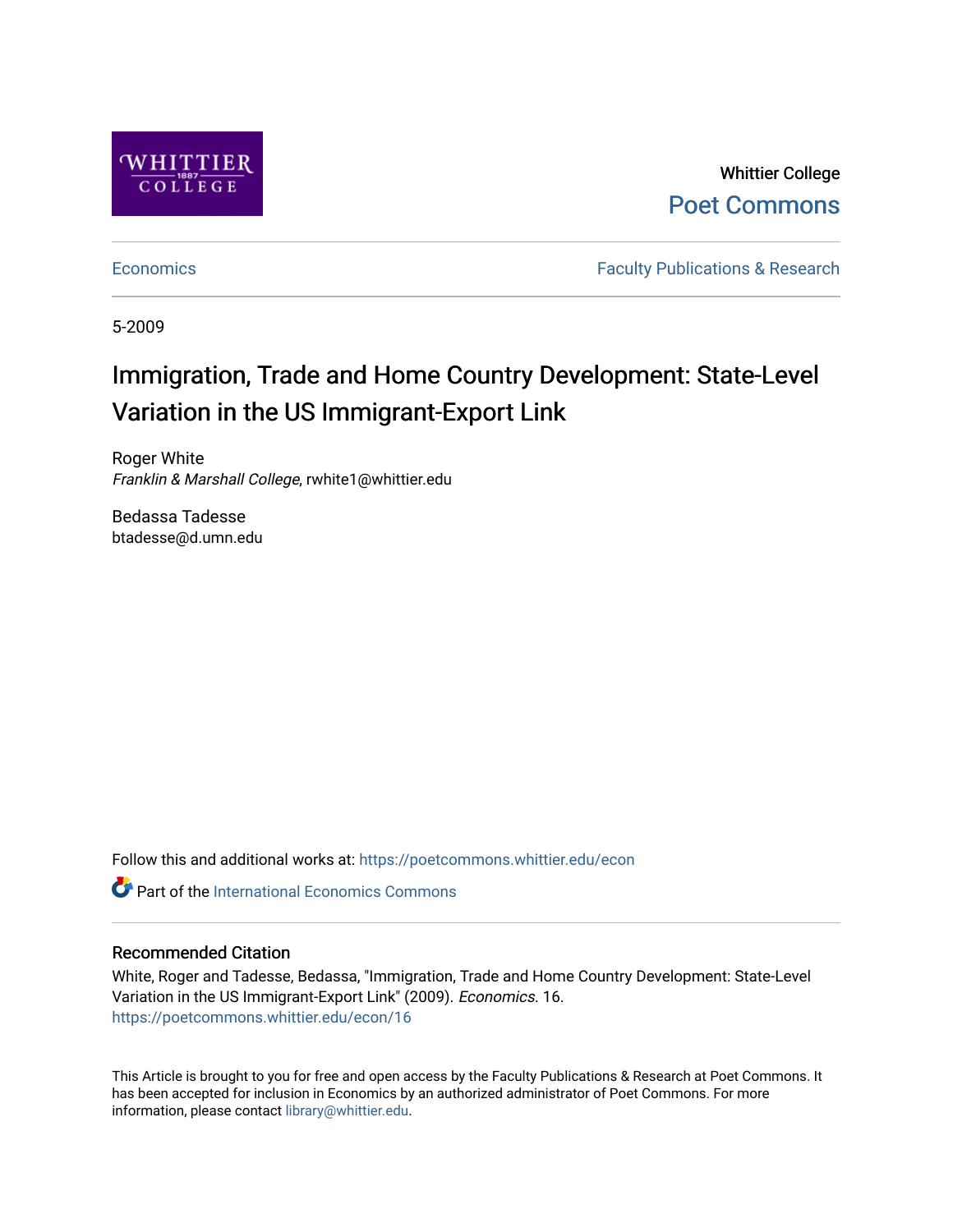

Whittier College [Poet Commons](https://poetcommons.whittier.edu/) 

[Economics](https://poetcommons.whittier.edu/econ) **Faculty Publications & Research** 

5-2009

# Immigration, Trade and Home Country Development: State-Level Variation in the US Immigrant-Export Link

Roger White Franklin & Marshall College, rwhite1@whittier.edu

Bedassa Tadesse btadesse@d.umn.edu

Follow this and additional works at: [https://poetcommons.whittier.edu/econ](https://poetcommons.whittier.edu/econ?utm_source=poetcommons.whittier.edu%2Fecon%2F16&utm_medium=PDF&utm_campaign=PDFCoverPages)

**C** Part of the International Economics Commons

## Recommended Citation

White, Roger and Tadesse, Bedassa, "Immigration, Trade and Home Country Development: State-Level Variation in the US Immigrant-Export Link" (2009). Economics. 16. [https://poetcommons.whittier.edu/econ/16](https://poetcommons.whittier.edu/econ/16?utm_source=poetcommons.whittier.edu%2Fecon%2F16&utm_medium=PDF&utm_campaign=PDFCoverPages) 

This Article is brought to you for free and open access by the Faculty Publications & Research at Poet Commons. It has been accepted for inclusion in Economics by an authorized administrator of Poet Commons. For more information, please contact [library@whittier.edu.](mailto:library@whittier.edu)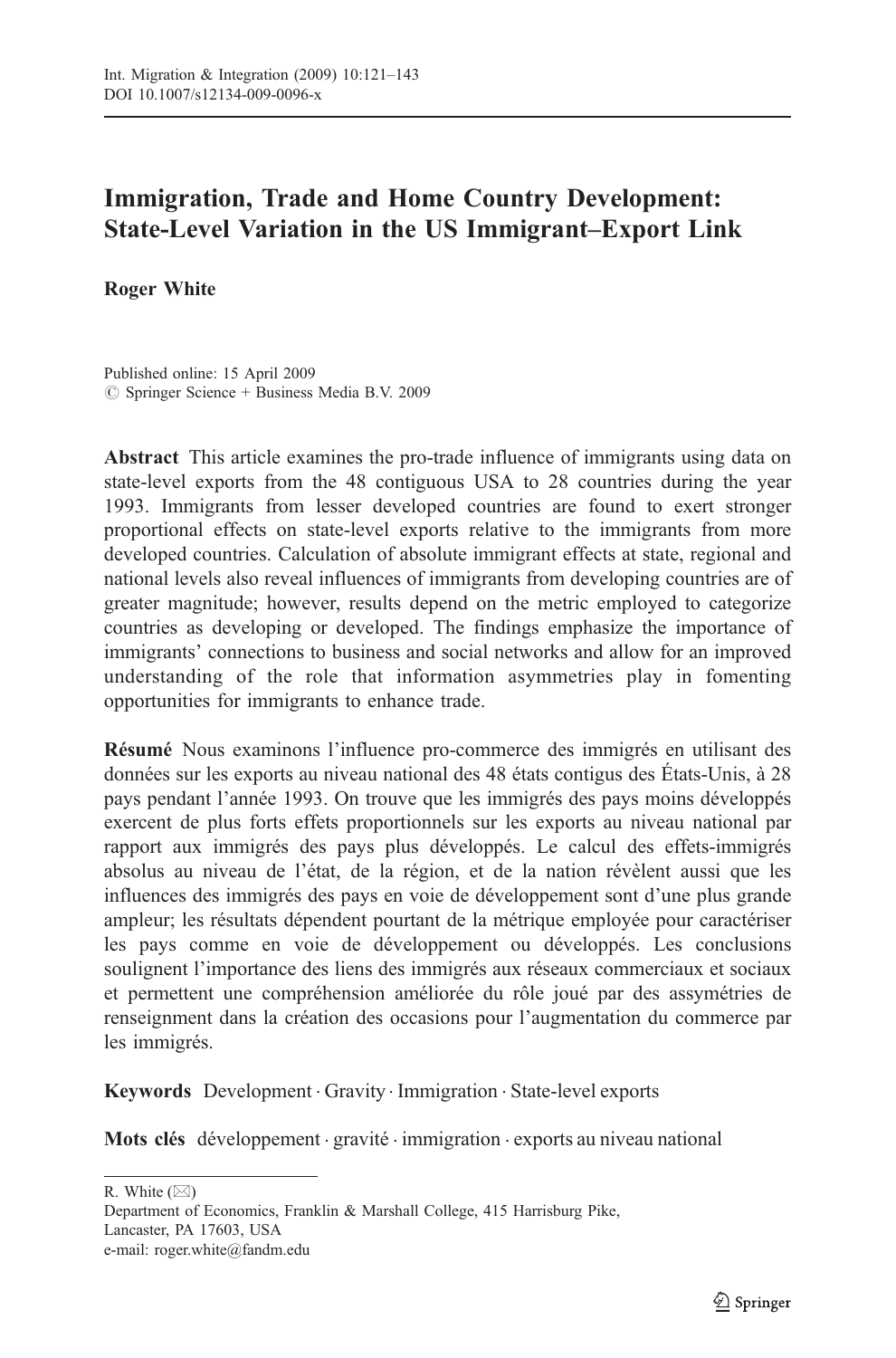# Immigration, Trade and Home Country Development: State-Level Variation in the US Immigrant*–*Export Link

Roger White

Published online: 15 April 2009  $\circ$  Springer Science + Business Media B.V. 2009

Abstract This article examines the pro-trade influence of immigrants using data on state-level exports from the 48 contiguous USA to 28 countries during the year 1993. Immigrants from lesser developed countries are found to exert stronger proportional effects on state-level exports relative to the immigrants from more developed countries. Calculation of absolute immigrant effects at state, regional and national levels also reveal influences of immigrants from developing countries are of greater magnitude; however, results depend on the metric employed to categorize countries as developing or developed. The findings emphasize the importance of immigrants' connections to business and social networks and allow for an improved understanding of the role that information asymmetries play in fomenting opportunities for immigrants to enhance trade.

Résumé Nous examinons l'influence pro-commerce des immigrés en utilisant des données sur les exports au niveau national des 48 états contigus des États-Unis, à 28 pays pendant l'année 1993. On trouve que les immigrés des pays moins développés exercent de plus forts effets proportionnels sur les exports au niveau national par rapport aux immigrés des pays plus développés. Le calcul des effets-immigrés absolus au niveau de l'état, de la région, et de la nation révèlent aussi que les influences des immigrés des pays en voie de développement sont d'une plus grande ampleur; les résultats dépendent pourtant de la métrique employée pour caractériser les pays comme en voie de développement ou développés. Les conclusions soulignent l'importance des liens des immigrés aux réseaux commerciaux et sociaux et permettent une compréhension améliorée du rôle joué par des assymétries de renseignment dans la création des occasions pour l'augmentation du commerce par les immigrés.

Keywords Development . Gravity . Immigration . State-level exports

Mots clés développement  $\cdot$  gravité  $\cdot$  immigration  $\cdot$  exports au niveau national

R. White  $(\boxtimes)$ 

Department of Economics, Franklin & Marshall College, 415 Harrisburg Pike, Lancaster, PA 17603, USA e-mail: roger.white@fandm.edu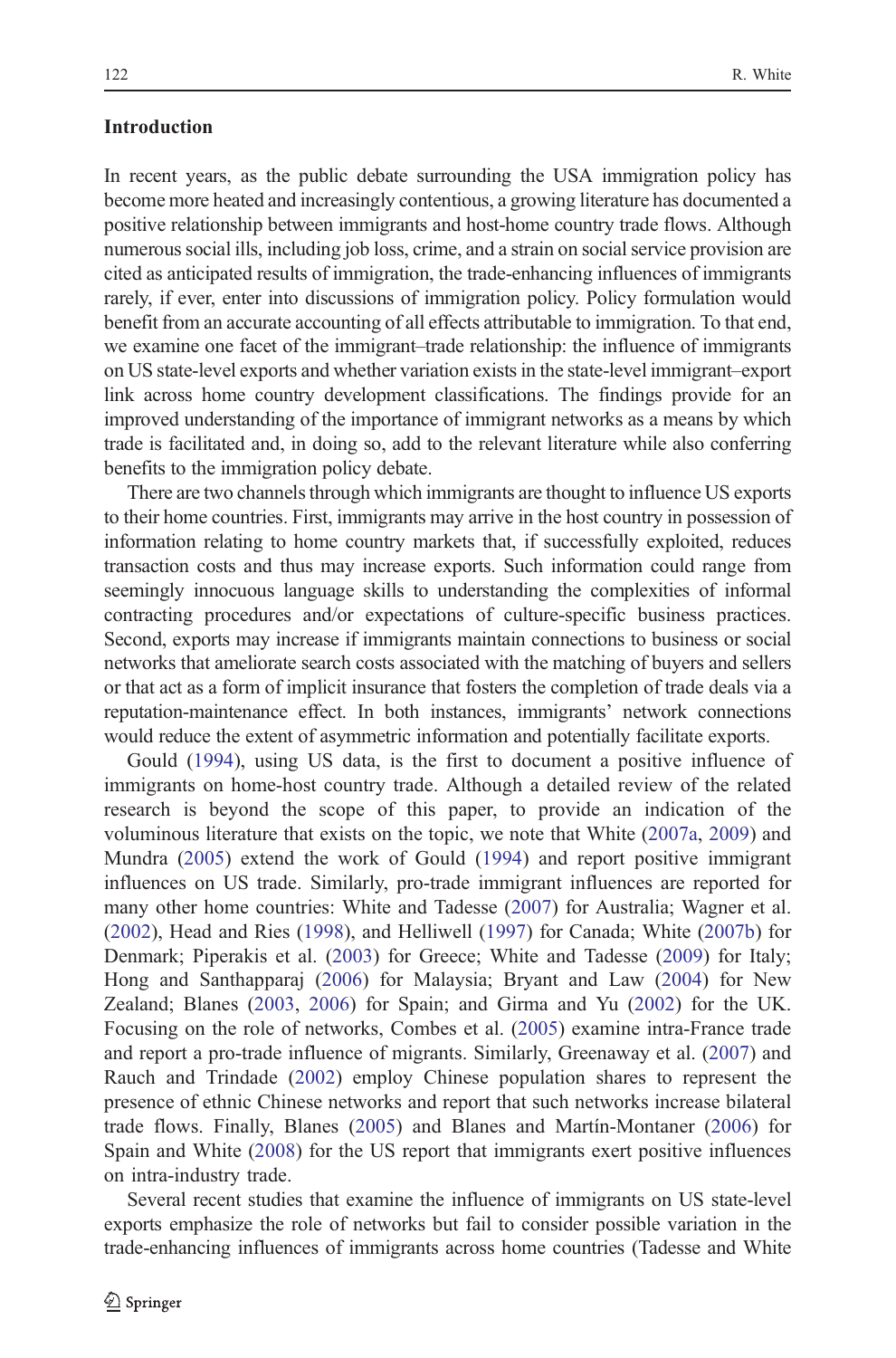#### Introduction

In recent years, as the public debate surrounding the USA immigration policy has become more heated and increasingly contentious, a growing literature has documented a positive relationship between immigrants and host-home country trade flows. Although numerous social ills, including job loss, crime, and a strain on social service provision are cited as anticipated results of immigration, the trade-enhancing influences of immigrants rarely, if ever, enter into discussions of immigration policy. Policy formulation would benefit from an accurate accounting of all effects attributable to immigration. To that end, we examine one facet of the immigrant–trade relationship: the influence of immigrants on US state-level exports and whether variation exists in the state-level immigrant–export link across home country development classifications. The findings provide for an improved understanding of the importance of immigrant networks as a means by which trade is facilitated and, in doing so, add to the relevant literature while also conferring benefits to the immigration policy debate.

There are two channels through which immigrants are thought to influence US exports to their home countries. First, immigrants may arrive in the host country in possession of information relating to home country markets that, if successfully exploited, reduces transaction costs and thus may increase exports. Such information could range from seemingly innocuous language skills to understanding the complexities of informal contracting procedures and/or expectations of culture-specific business practices. Second, exports may increase if immigrants maintain connections to business or social networks that ameliorate search costs associated with the matching of buyers and sellers or that act as a form of implicit insurance that fosters the completion of trade deals via a reputation-maintenance effect. In both instances, immigrants' network connections would reduce the extent of asymmetric information and potentially facilitate exports.

Gould ([1994\)](#page-22-0), using US data, is the first to document a positive influence of immigrants on home-host country trade. Although a detailed review of the related research is beyond the scope of this paper, to provide an indication of the voluminous literature that exists on the topic, we note that White [\(2007a](#page-22-0), [2009\)](#page-23-0) and Mundra [\(2005](#page-22-0)) extend the work of Gould [\(1994](#page-22-0)) and report positive immigrant influences on US trade. Similarly, pro-trade immigrant influences are reported for many other home countries: White and Tadesse ([2007\)](#page-23-0) for Australia; Wagner et al. [\(2002](#page-22-0)), Head and Ries ([1998\)](#page-22-0), and Helliwell [\(1997](#page-22-0)) for Canada; White ([2007b](#page-23-0)) for Denmark; Piperakis et al. [\(2003](#page-22-0)) for Greece; White and Tadesse [\(2009](#page-23-0)) for Italy; Hong and Santhapparaj ([2006\)](#page-22-0) for Malaysia; Bryant and Law ([2004\)](#page-22-0) for New Zealand; Blanes ([2003,](#page-21-0) [2006\)](#page-21-0) for Spain; and Girma and Yu [\(2002](#page-22-0)) for the UK. Focusing on the role of networks, Combes et al. [\(2005\)](#page-22-0) examine intra-France trade and report a pro-trade influence of migrants. Similarly, Greenaway et al. ([2007\)](#page-22-0) and Rauch and Trindade ([2002\)](#page-22-0) employ Chinese population shares to represent the presence of ethnic Chinese networks and report that such networks increase bilateral trade flows. Finally, Blanes [\(2005](#page-21-0)) and Blanes and Martín-Montaner ([2006\)](#page-22-0) for Spain and White [\(2008](#page-23-0)) for the US report that immigrants exert positive influences on intra-industry trade.

Several recent studies that examine the influence of immigrants on US state-level exports emphasize the role of networks but fail to consider possible variation in the trade-enhancing influences of immigrants across home countries (Tadesse and White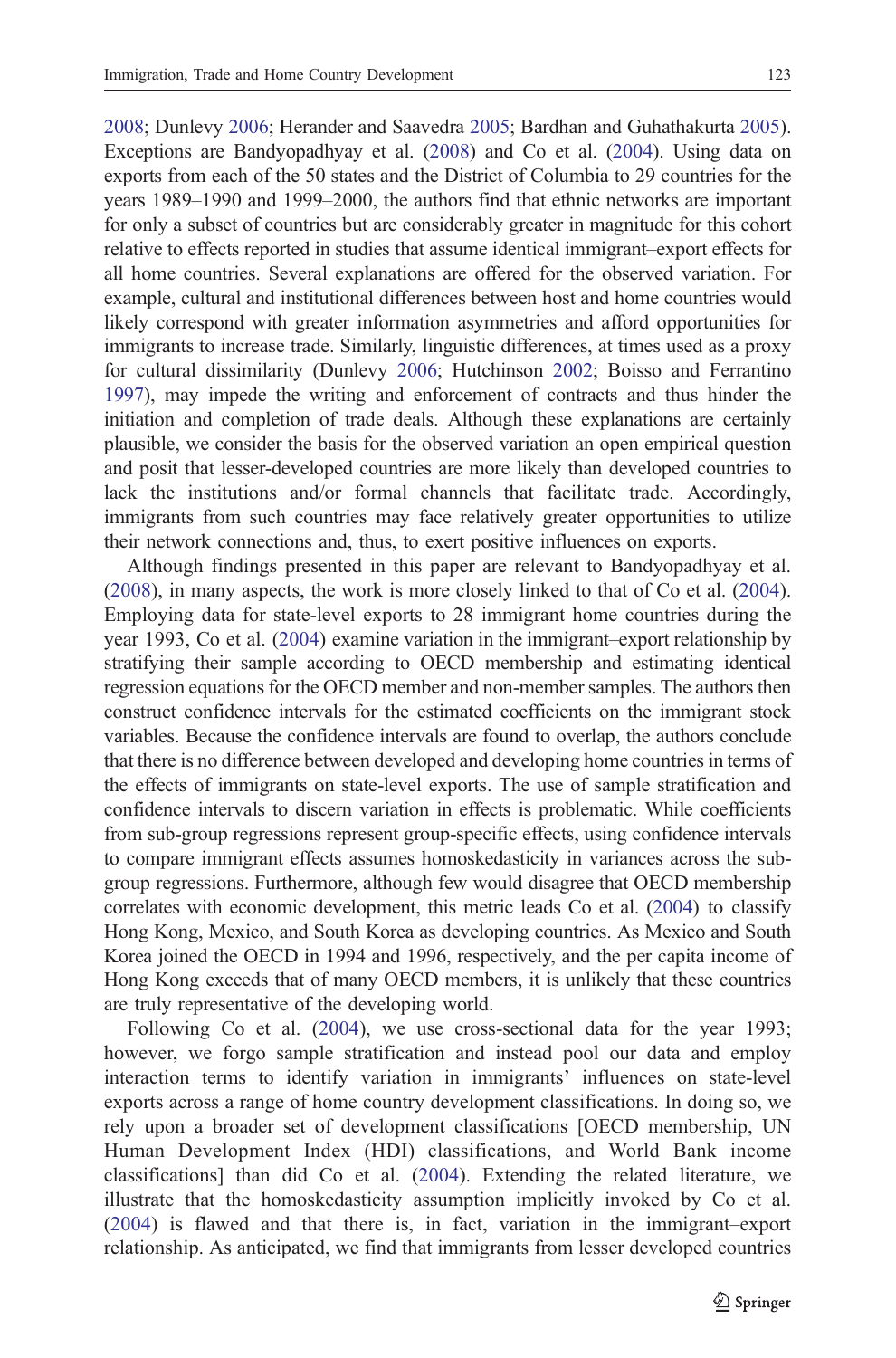[2008;](#page-22-0) Dunlevy [2006;](#page-22-0) Herander and Saavedra [2005](#page-22-0); Bardhan and Guhathakurta [2005\)](#page-21-0). Exceptions are Bandyopadhyay et al. ([2008](#page-21-0)) and Co et al. ([2004](#page-22-0)). Using data on exports from each of the 50 states and the District of Columbia to 29 countries for the years 1989–1990 and 1999–2000, the authors find that ethnic networks are important for only a subset of countries but are considerably greater in magnitude for this cohort relative to effects reported in studies that assume identical immigrant–export effects for all home countries. Several explanations are offered for the observed variation. For example, cultural and institutional differences between host and home countries would likely correspond with greater information asymmetries and afford opportunities for immigrants to increase trade. Similarly, linguistic differences, at times used as a proxy for cultural dissimilarity (Dunlevy [2006](#page-22-0); Hutchinson [2002;](#page-22-0) Boisso and Ferrantino [1997\)](#page-22-0), may impede the writing and enforcement of contracts and thus hinder the initiation and completion of trade deals. Although these explanations are certainly plausible, we consider the basis for the observed variation an open empirical question and posit that lesser-developed countries are more likely than developed countries to lack the institutions and/or formal channels that facilitate trade. Accordingly, immigrants from such countries may face relatively greater opportunities to utilize their network connections and, thus, to exert positive influences on exports.

Although findings presented in this paper are relevant to Bandyopadhyay et al. [\(2008](#page-21-0)), in many aspects, the work is more closely linked to that of Co et al. ([2004\)](#page-22-0). Employing data for state-level exports to 28 immigrant home countries during the year 1993, Co et al. ([2004\)](#page-22-0) examine variation in the immigrant–export relationship by stratifying their sample according to OECD membership and estimating identical regression equations for the OECD member and non-member samples. The authors then construct confidence intervals for the estimated coefficients on the immigrant stock variables. Because the confidence intervals are found to overlap, the authors conclude that there is no difference between developed and developing home countries in terms of the effects of immigrants on state-level exports. The use of sample stratification and confidence intervals to discern variation in effects is problematic. While coefficients from sub-group regressions represent group-specific effects, using confidence intervals to compare immigrant effects assumes homoskedasticity in variances across the subgroup regressions. Furthermore, although few would disagree that OECD membership correlates with economic development, this metric leads Co et al. [\(2004\)](#page-22-0) to classify Hong Kong, Mexico, and South Korea as developing countries. As Mexico and South Korea joined the OECD in 1994 and 1996, respectively, and the per capita income of Hong Kong exceeds that of many OECD members, it is unlikely that these countries are truly representative of the developing world.

Following Co et al. [\(2004](#page-22-0)), we use cross-sectional data for the year 1993; however, we forgo sample stratification and instead pool our data and employ interaction terms to identify variation in immigrants' influences on state-level exports across a range of home country development classifications. In doing so, we rely upon a broader set of development classifications [OECD membership, UN Human Development Index (HDI) classifications, and World Bank income classifications] than did Co et al. [\(2004](#page-22-0)). Extending the related literature, we illustrate that the homoskedasticity assumption implicitly invoked by Co et al. [\(2004](#page-22-0)) is flawed and that there is, in fact, variation in the immigrant–export relationship. As anticipated, we find that immigrants from lesser developed countries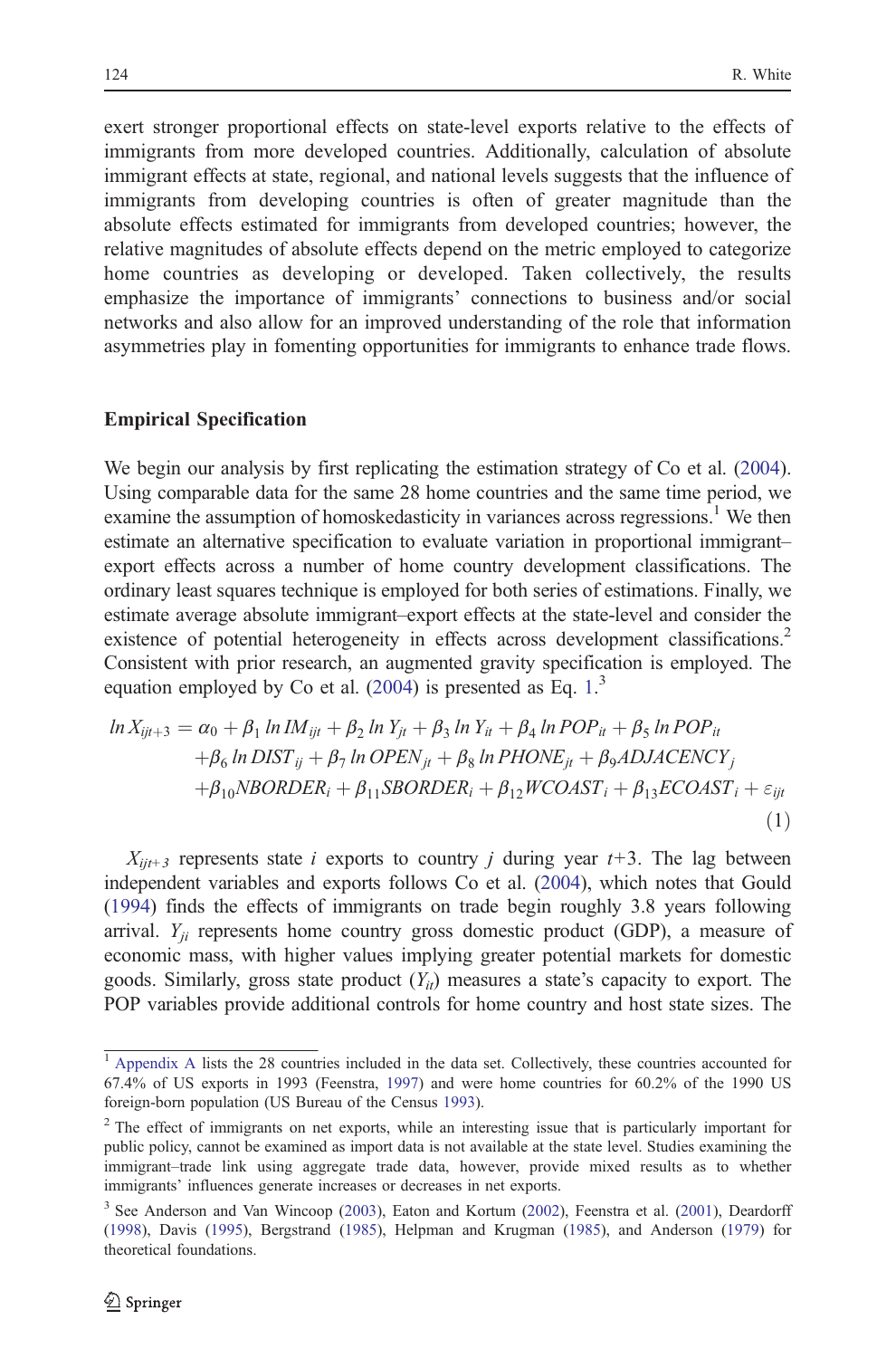<span id="page-4-0"></span>exert stronger proportional effects on state-level exports relative to the effects of immigrants from more developed countries. Additionally, calculation of absolute immigrant effects at state, regional, and national levels suggests that the influence of immigrants from developing countries is often of greater magnitude than the absolute effects estimated for immigrants from developed countries; however, the relative magnitudes of absolute effects depend on the metric employed to categorize home countries as developing or developed. Taken collectively, the results emphasize the importance of immigrants' connections to business and/or social networks and also allow for an improved understanding of the role that information asymmetries play in fomenting opportunities for immigrants to enhance trade flows.

#### Empirical Specification

We begin our analysis by first replicating the estimation strategy of Co et al. [\(2004\)](#page-22-0). Using comparable data for the same 28 home countries and the same time period, we examine the assumption of homoskedasticity in variances across regressions.<sup>1</sup> We then estimate an alternative specification to evaluate variation in proportional immigrant– export effects across a number of home country development classifications. The ordinary least squares technique is employed for both series of estimations. Finally, we estimate average absolute immigrant–export effects at the state-level and consider the existence of potential heterogeneity in effects across development classifications.<sup>2</sup> Consistent with prior research, an augmented gravity specification is employed. The equation employed by Co et al. ([2004](#page-22-0)) is presented as Eq. 1. 3

$$
ln X_{ijt+3} = \alpha_0 + \beta_1 ln IM_{ijt} + \beta_2 ln Y_{jt} + \beta_3 ln Y_{it} + \beta_4 ln POP_{it} + \beta_5 ln POP_{it}
$$
  
+  $\beta_6 ln DIST_{ij} + \beta_7 ln OPEN_{jt} + \beta_8 ln PHONE_{jt} + \beta_9 ADJACENCY_j$   
+  $\beta_{10} NBORDER_i + \beta_{11} SBORDER_i + \beta_{12} WCOAST_i + \beta_{13} ECOAST_i + \varepsilon_{ijt}$   
(1)

 $X_{i,i+3}$  represents state i exports to country j during year t+3. The lag between independent variables and exports follows Co et al. [\(2004\)](#page-22-0), which notes that Gould [\(1994\)](#page-22-0) finds the effects of immigrants on trade begin roughly 3.8 years following arrival.  $Y_{ji}$  represents home country gross domestic product (GDP), a measure of economic mass, with higher values implying greater potential markets for domestic goods. Similarly, gross state product  $(Y_{ii})$  measures a state's capacity to export. The POP variables provide additional controls for home country and host state sizes. The

<sup>1</sup> [Appendix A](#page-21-0) lists the 28 countries included in the data set. Collectively, these countries accounted for 67.4% of US exports in 1993 (Feenstra, [1997](#page-22-0)) and were home countries for 60.2% of the 1990 US foreign-born population (US Bureau of the Census [1993](#page-22-0)).

<sup>&</sup>lt;sup>2</sup> The effect of immigrants on net exports, while an interesting issue that is particularly important for public policy, cannot be examined as import data is not available at the state level. Studies examining the immigrant–trade link using aggregate trade data, however, provide mixed results as to whether immigrants' influences generate increases or decreases in net exports.

<sup>&</sup>lt;sup>3</sup> See Anderson and Van Wincoop ([2003\)](#page-21-0), Eaton and Kortum ([2002\)](#page-22-0), Feenstra et al. ([2001\)](#page-22-0), Deardorff ([1998\)](#page-22-0), Davis [\(1995](#page-22-0)), Bergstrand [\(1985\)](#page-21-0), Helpman and Krugman ([1985\)](#page-22-0), and Anderson ([1979\)](#page-21-0) for theoretical foundations.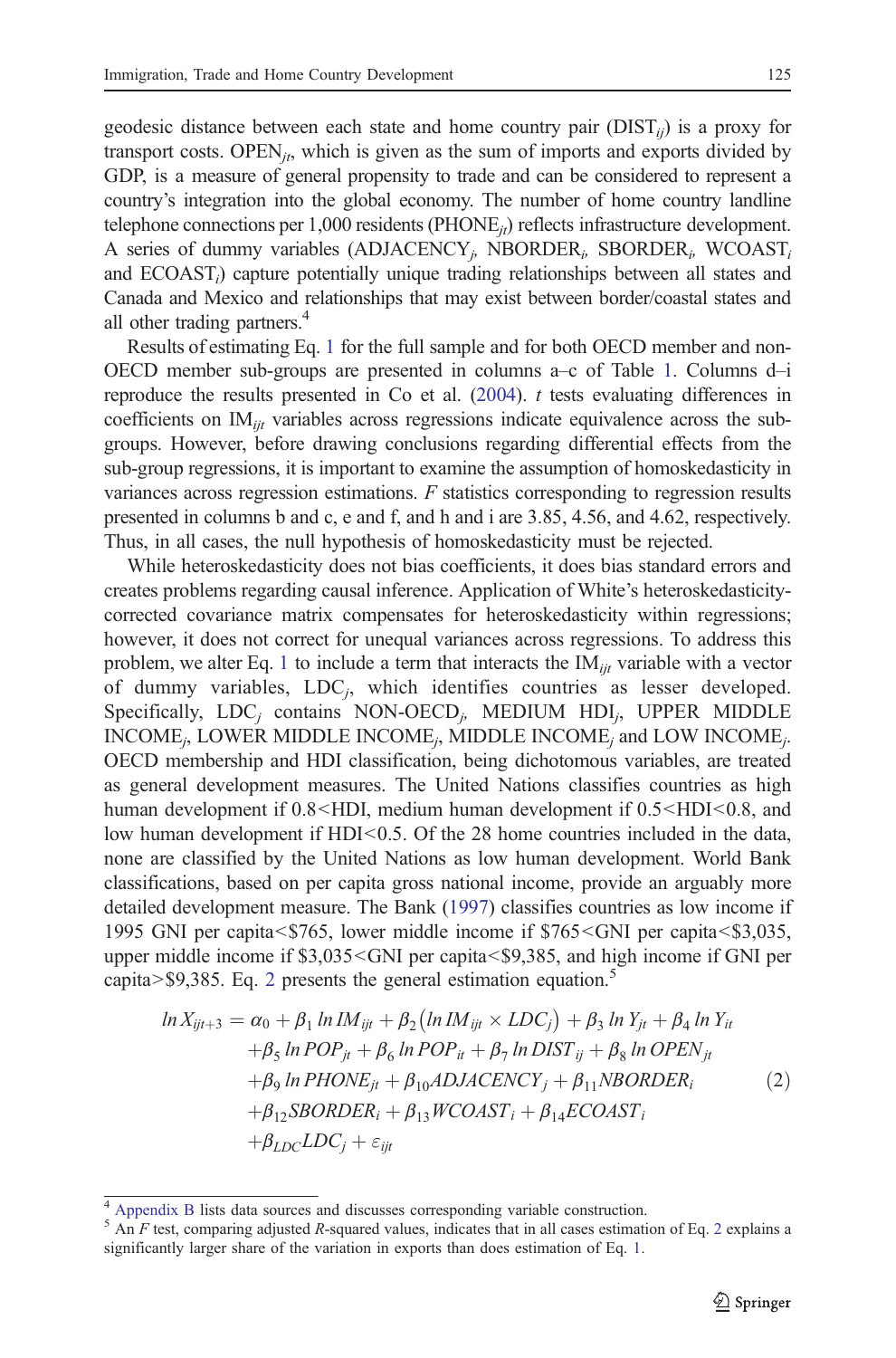<span id="page-5-0"></span>geodesic distance between each state and home country pair  $(DIST_{ii})$  is a proxy for transport costs.  $OPEN_{jt}$ , which is given as the sum of imports and exports divided by GDP, is a measure of general propensity to trade and can be considered to represent a country's integration into the global economy. The number of home country landline telephone connections per  $1,000$  residents (PHONE $_{ij}$ ) reflects infrastructure development. A series of dummy variables  $(ADIACENCY<sub>j</sub>, NBORDER<sub>i</sub>, SBORDER<sub>j</sub>, WCOAST<sub>i</sub>$ and ECOAST<sub>i</sub>) capture potentially unique trading relationships between all states and Canada and Mexico and relationships that may exist between border/coastal states and all other trading partners.<sup>4</sup>

Results of estimating Eq. [1](#page-4-0) for the full sample and for both OECD member and non-OECD member sub-groups are presented in columns a–c of Table [1](#page-6-0). Columns d–i reproduce the results presented in Co et al.  $(2004)$  $(2004)$  $(2004)$ . t tests evaluating differences in coefficients on  $\mathbb{M}_{iit}$  variables across regressions indicate equivalence across the subgroups. However, before drawing conclusions regarding differential effects from the sub-group regressions, it is important to examine the assumption of homoskedasticity in variances across regression estimations. F statistics corresponding to regression results presented in columns b and c, e and f, and h and i are 3.85, 4.56, and 4.62, respectively. Thus, in all cases, the null hypothesis of homoskedasticity must be rejected.

While heteroskedasticity does not bias coefficients, it does bias standard errors and creates problems regarding causal inference. Application of White's heteroskedasticitycorrected covariance matrix compensates for heteroskedasticity within regressions; however, it does not correct for unequal variances across regressions. To address this problem, we alter Eq. [1](#page-4-0) to include a term that interacts the  $IM_{ijt}$  variable with a vector of dummy variables,  $LDC_i$ , which identifies countries as lesser developed. Specifically,  $LDC_i$  contains NON-OECD<sub>i</sub>, MEDIUM HDI<sub>i</sub>, UPPER MIDDLE INCOME<sub>i</sub>, LOWER MIDDLE INCOME<sub>i</sub>, MIDDLE INCOME<sub>i</sub> and LOW INCOME<sub>i</sub>. OECD membership and HDI classification, being dichotomous variables, are treated as general development measures. The United Nations classifies countries as high human development if  $0.8<$ HDI, medium human development if  $0.5<$ HDI<0.8, and low human development if HDI<0.5. Of the 28 home countries included in the data, none are classified by the United Nations as low human development. World Bank classifications, based on per capita gross national income, provide an arguably more detailed development measure. The Bank [\(1997\)](#page-23-0) classifies countries as low income if 1995 GNI per capita<\$765, lower middle income if \$765<GNI per capita<\$3,035, upper middle income if  $$3,035\le$ GNI per capita $$\$9,385$ , and high income if GNI per capita>\$9,385. Eq. 2 presents the general estimation equation.<sup>5</sup>

$$
ln X_{ijt+3} = \alpha_0 + \beta_1 ln IM_{ijt} + \beta_2 (ln IM_{ijt} \times LDC_j) + \beta_3 ln Y_{jt} + \beta_4 ln Y_{it}
$$
  
+  $\beta_5 ln POP_{jt} + \beta_6 ln POP_{it} + \beta_7 ln DIST_{ij} + \beta_8 ln OPEN_{jt}$   
+  $\beta_9 ln PHONE_{jt} + \beta_{10} ADJACENCY_j + \beta_{11} NBORDER_i$   
+  $\beta_{12} SBORDER_i + \beta_{13} WCOAST_i + \beta_{14} ECOAST_i$   
+  $\beta_{LDC} LDC_j + \varepsilon_{ijt}$  (2)

<sup>&</sup>lt;sup>4</sup> [Appendix B](#page-21-0) lists data sources and discusses corresponding variable construction.  $5 \text{ An } F$  test, comparing adjusted R-squared values, indicates that in all cases estimation of Eq. 2 explains a significantly larger share of the variation in exports than does estimation of Eq. [1.](#page-4-0)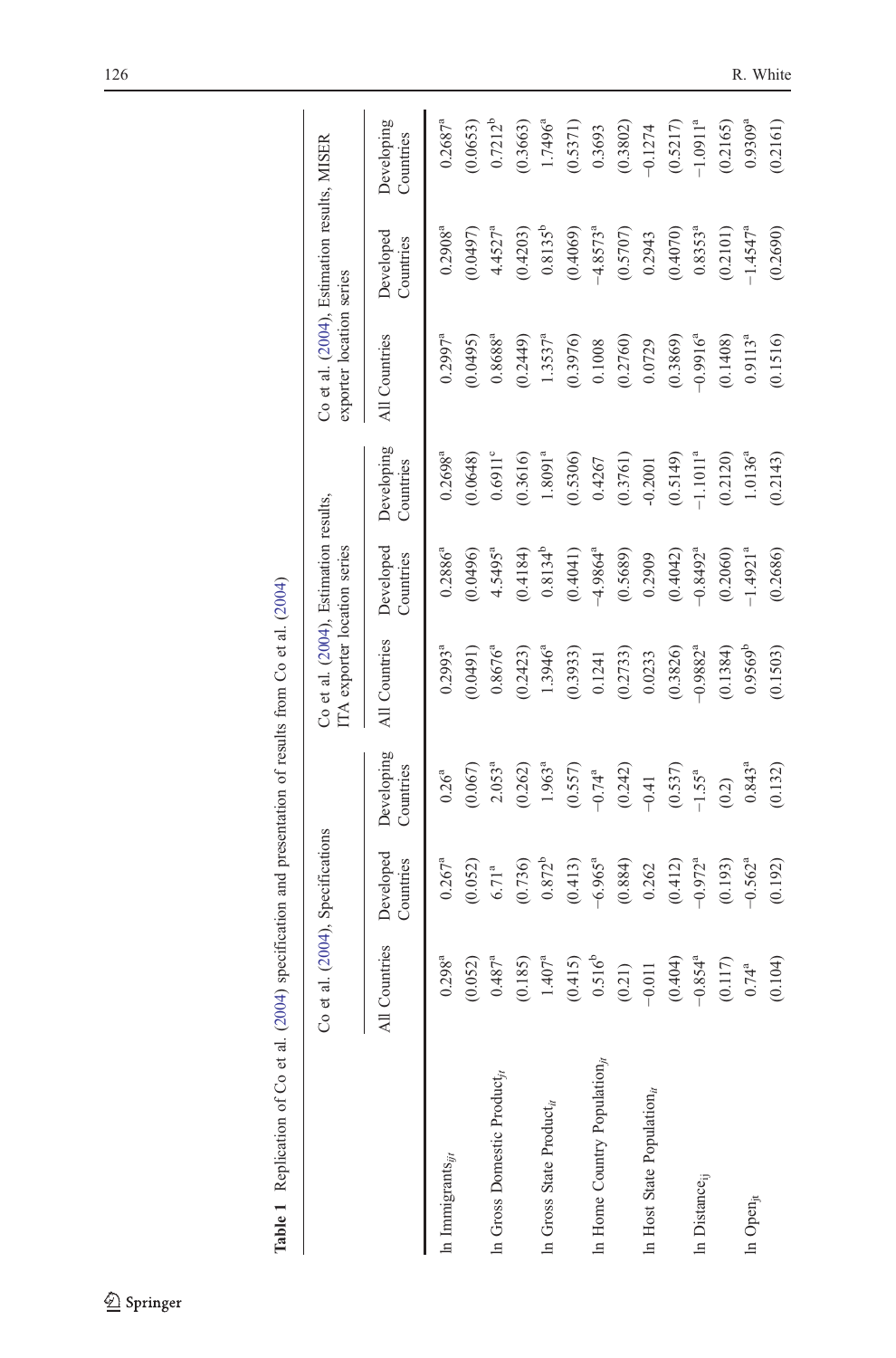<span id="page-6-0"></span>

|                                    | ී                           | et al. (2004), Specifications |                         | Co et al. (2004), Estimation results,<br>ITA exporter location series |                        |                         | exporter location series | Co et al. (2004), Estimation results, MISER |                         |
|------------------------------------|-----------------------------|-------------------------------|-------------------------|-----------------------------------------------------------------------|------------------------|-------------------------|--------------------------|---------------------------------------------|-------------------------|
|                                    | Countries<br>$\overline{A}$ | Developed<br>Countries        | Developing<br>Countries | All Countries                                                         | Developed<br>Countries | Developing<br>Countries | All Countries            | Developed<br>Countries                      | Developing<br>Countries |
| In Immigrants $_{ijt}$             | $0.298^{a}$                 | $0.267^{a}$                   | $0.26^{a}$              | $0.2993^{a}$                                                          | $0.2886^{a}$           | $0.2698^{a}$            | $0.2997^{a}$             | $0.2908^{a}$                                | $0.2687^{a}$            |
|                                    | (0.052)                     | (0.052)                       | (0.067)                 | (1610.0)                                                              | (0.0496)               | (0.0648)                | (0.0495)                 | (0.0497)                                    | (0.0653)                |
| In Gross Domestic Product $_{it}$  | $0.487^{a}$                 | $6.71^{a}$                    | $2.053^{a}$             | $0.8676^{a}$                                                          | $4.5495^{a}$           | $0.6911^{\circ}$        | $0.8688^{a}$             | 4.4527 <sup>a</sup>                         | $0.7212^{b}$            |
|                                    | (0.185)                     | (0.736)                       | (0.262)                 | (0.2423)                                                              | (0.4184)               | (0.3616)                | 0.2449                   | (0.4203)                                    | (0.3663)                |
| In Gross State Product $_{it}$     | $1.407^{a}$                 | $0.872^{b}$                   | 1.963 <sup>a</sup>      | 1.3946 <sup>a</sup>                                                   | $0.8134^{b}$           | 1.8091 <sup>a</sup>     | $1.3537^a$               | $0.8135^{b}$                                | $1.7496^{a}$            |
|                                    | (0.415)                     | (0.413)                       | (0.557)                 | (0.3933)                                                              | (0.4041)               | (0.5306)                | (0.3976)                 | (0.4069)                                    | (0.5371)                |
| In Home Country Population, $\eta$ | $0.516^{b}$                 | $-6.965$ <sup>a</sup>         | $-0.74^{a}$             | 0.1241                                                                | $-4.9864^a$            | 0.4267                  | 0.1008                   | $-4.8573$ <sup>a</sup>                      | 0.3693                  |
|                                    | (0.21)                      | (0.884)                       | (0.242)                 | (0.2733)                                                              | (0.5689)               | (0.3761)                | (0.2760)                 | (0.5707)                                    | (0.3802)                |
| In Host State Population $_{it}$   | $-0.011$                    | 0.262                         | $-0.41$                 | 0.0233                                                                | 0.2909                 | $-0.2001$               | 0.0729                   | 0.2943                                      | $-0.1274$               |
|                                    | (0.404)                     | (0.412)                       | (0.537)                 | (0.3826)                                                              | (0.4042)               | (0.5149)                | (0.3869)                 | (0.4070)                                    | (0.5217)                |
| In Distance <sub>ii</sub>          | $-0.854$ <sup>a</sup>       | $-0.972^{a}$                  | $-1.55^{a}$             | $-0.9882^{a}$                                                         | $-0.8492$ <sup>a</sup> | $-1.1011a$              | $-0.9916^a$              | $0.8353^{a}$                                | $-1.0911a$              |
|                                    | (0.117)                     | (0.193)                       | (0.2)                   | (0.1384)                                                              | (0.2060)               | (0.2120)                | (0.1408)                 | (0.2101)                                    | (0.2165)                |
| In Open <sub>it</sub>              | $0.74^{a}$                  | $-0.562^{a}$                  | $0.843^{a}$             | $0.9569^b$                                                            | $-1.4921^a$            | $1.0136^{a}$            | $0.9113^{a}$             | $-1.4547^a$                                 | $0.9309^{a}$            |
|                                    | (0.104)                     | (0.192)                       | (0.132)                 | (0.1503)                                                              | (0.2686)               | (0.2143)                | (0.1516)                 | (0.2690)                                    | (0.2161)                |

Table 1 Replication of Co et al. (2004) specification and presentation of results from Co et al. (2004) Table 1 Replication of Co et al. ([2004](#page-22-0)) specification and presentation of results from Co et al. [\(2004](#page-22-0))

 $\underline{\textcircled{\tiny 2}}$  Springer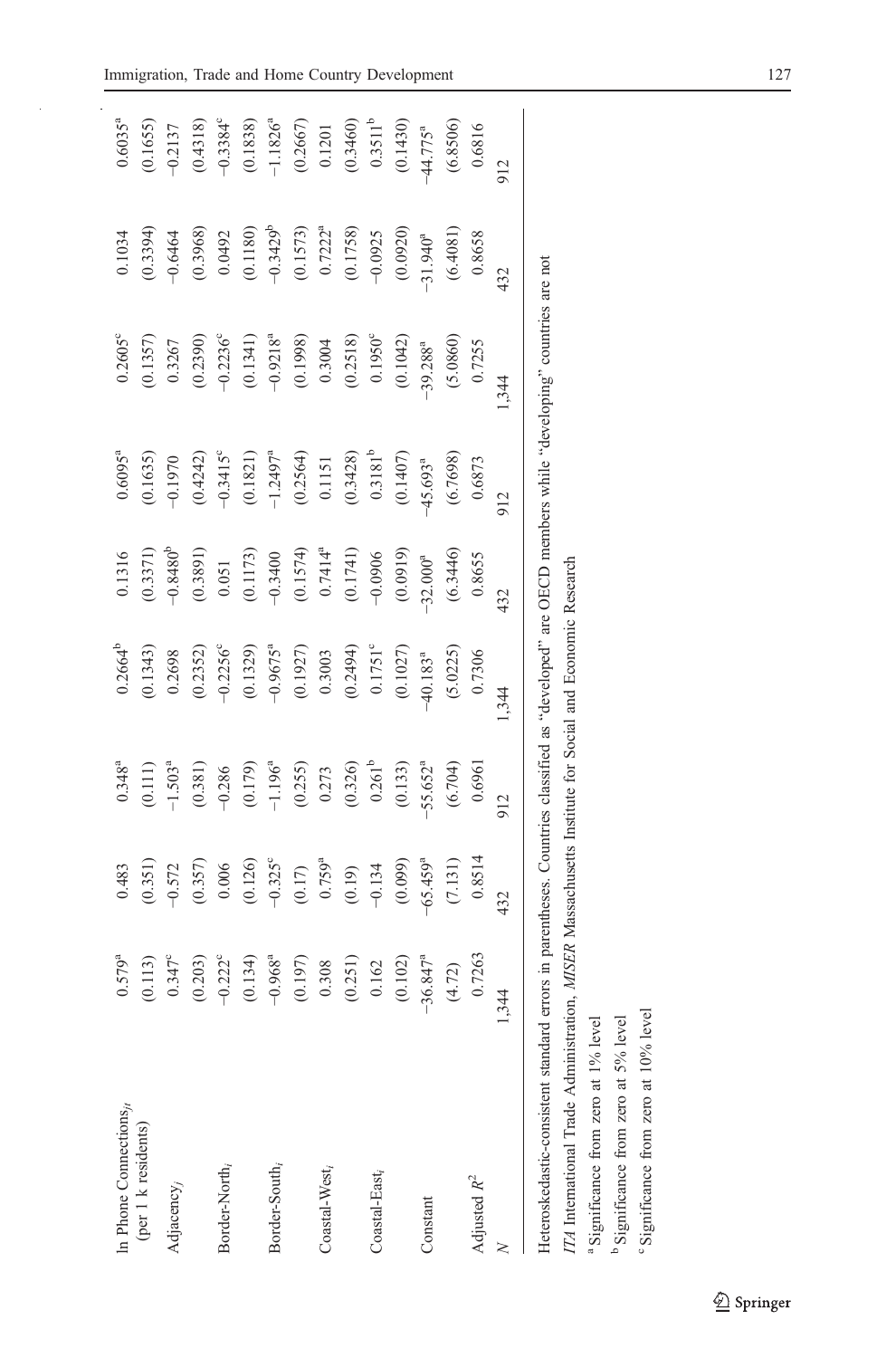| In Phone Connections $_{it}$         | $0.579^{a}$                                                                                  | 0.483                                                                                                               | $0.348^{a}$                                                       | $0.2664^{b}$                       | 0.1316                                                                                                       | $0.6095^{a}$                       | $0.2605^{\circ}$                                                                                                | 0.1034                             | $0.6035^{a}$                                                                                                                  |
|--------------------------------------|----------------------------------------------------------------------------------------------|---------------------------------------------------------------------------------------------------------------------|-------------------------------------------------------------------|------------------------------------|--------------------------------------------------------------------------------------------------------------|------------------------------------|-----------------------------------------------------------------------------------------------------------------|------------------------------------|-------------------------------------------------------------------------------------------------------------------------------|
| (per 1 k residents)                  | $(0.113)$<br>0.347°                                                                          |                                                                                                                     | $(0.111)$<br>-1.503 <sup>a</sup>                                  | (0.1343)                           | $\begin{array}{c} (0.3371) \\ -0.8480^b \\ (0.3891) \end{array}$                                             | (0.1635)                           | (0.1357)                                                                                                        | (0.3394)                           | (0.1655)                                                                                                                      |
| Adjacency,                           |                                                                                              | $(0.351)$<br>$-0.572$                                                                                               |                                                                   | 0.2698                             |                                                                                                              | $-0.1970$                          | 0.3267                                                                                                          | $-0.6464$                          | $-0.2137$                                                                                                                     |
|                                      |                                                                                              |                                                                                                                     |                                                                   | (0.2352)                           |                                                                                                              | (0.4242)                           | (0.2390)                                                                                                        | (0.3968)                           | (0.4318)                                                                                                                      |
| Border-North,                        | $(0.203)$<br>-0.222°                                                                         |                                                                                                                     |                                                                   | $-0.2256^{\circ}$                  | 0.051                                                                                                        | $-0.3415^{\circ}$                  | $-0.2236^{\circ}$                                                                                               | 0.0492                             | $-0.3384^{\circ}$                                                                                                             |
|                                      |                                                                                              |                                                                                                                     |                                                                   |                                    |                                                                                                              | (0.1821)                           |                                                                                                                 | $(0.1180)$<br>-0.3429 <sup>b</sup> |                                                                                                                               |
| Border-South,                        |                                                                                              |                                                                                                                     |                                                                   | $(0.1329)$<br>-0.9675 <sup>a</sup> |                                                                                                              | $-1.2497^a$                        |                                                                                                                 |                                    |                                                                                                                               |
|                                      | $\begin{array}{c} (0.134) \\ \bf{-0.968} \\ (0.197) \\ \bf{0.308} \\ (0.251) \\ \end{array}$ | $\begin{array}{c} (0.357) \\ 0.006 \\ (0.126) \\ -0.325^{\circ} \\ (0.17) \\ (0.17) \\ (0.9) \\ -0.134 \end{array}$ | $(0.381)$ $-0.286$ $-0.179)$ $-1.196^a$ $0.255)$ $0.273$ $0.326)$ | $(0.1927)$<br>0.3003               | $\begin{array}{c} (0.1173) \\ -0.3400 \\ (0.1574) \\ 0.7414^a \\ 0.1741) \\ (0.1741) \\ -0.0906 \end{array}$ | $(0.2564)$<br>0.1151               | $\begin{array}{c} (0.1341) \\ -0.9218^a \\ (0.1998) \\ 0.3004 \end{array}$                                      | $(0.1573)$<br>0.7222 <sup>a</sup>  | $\begin{array}{c} (0.1838) \\ -1.1826^a \\ (0.2667) \\ 0.1201 \\ (0.3460) \\ 0.3511^b \\ (0.1430) \\ (0.1430) \\ \end{array}$ |
| $\text{Coastal-West}_i$              |                                                                                              |                                                                                                                     |                                                                   |                                    |                                                                                                              |                                    |                                                                                                                 |                                    |                                                                                                                               |
|                                      |                                                                                              |                                                                                                                     |                                                                   | (0.2494)                           |                                                                                                              | (0.3428)                           | (0.2518)                                                                                                        | (0.1758)                           |                                                                                                                               |
| $\text{Coastal-East}_i$              |                                                                                              |                                                                                                                     |                                                                   | $0.1751^{\circ}$                   |                                                                                                              | $0.3181^{b}$                       | $0.1950^{\circ}$                                                                                                | $-0.0925$                          |                                                                                                                               |
|                                      | $(0.102)$<br>-36.847 <sup>a</sup>                                                            | $(0.099)$<br>$-65.459^a$                                                                                            | $(0.133)$<br>55.652 <sup>a</sup>                                  | (0.1027)                           | $(0.0919)$<br>32.000 <sup>a</sup>                                                                            | $(0.1407)$<br>-45.693 <sup>a</sup> | (0.1042)                                                                                                        | (0.0920)                           |                                                                                                                               |
| Constant                             |                                                                                              |                                                                                                                     |                                                                   | $-40.183^{a}$                      |                                                                                                              |                                    | $-39.288^{a}$                                                                                                   | $-31.940^{a}$                      |                                                                                                                               |
|                                      | (4.72)                                                                                       | (7.131)                                                                                                             | (6.704)                                                           | (5.0225)                           | (6.3446)                                                                                                     | (6.7698)                           | (5.0860)                                                                                                        | (6.4081)                           | (6.8506)                                                                                                                      |
| Adjusted $R^2$                       | 0.7263                                                                                       | 0.8514                                                                                                              | 0.6961                                                            | 0.7306                             | 0.8655                                                                                                       | 0.6873                             | 0.7255                                                                                                          | 0.8658                             | 0.6816                                                                                                                        |
|                                      | 34                                                                                           | 132                                                                                                                 | 912                                                               |                                    | 132                                                                                                          | 212                                |                                                                                                                 | 432                                | 912                                                                                                                           |
| Hataroclzadoctic concictant ctondord |                                                                                              |                                                                                                                     |                                                                   |                                    |                                                                                                              |                                    | arrors in normthanac Countriac classified as a classloped or all CCD mambare while "david ovin e" countriac ora |                                    |                                                                                                                               |

countries are not Heteroskedastic-consistent standard errors in parentheses. Countries classified as "developed" are OECD members while "developing" countries are not developing Heteroskedastic-consistent standard errors in parentheses. Countries classified as "developed" are OECD members while ITA International Trade Administration, MISER Massachusetts Institute for Social and Economic Research ITA International Trade Administration, MISER Massachusetts Institute for Social and Economic Research

<sup>a</sup> Significance from zero at 1% level <sup>a</sup> Significance from zero at 1% level

<sup>b</sup> Significance from zero at 5% level <sup>b</sup> Significance from zero at 5% level

<sup>e</sup> Significance from zero at 10% level Significance from zero at 10% level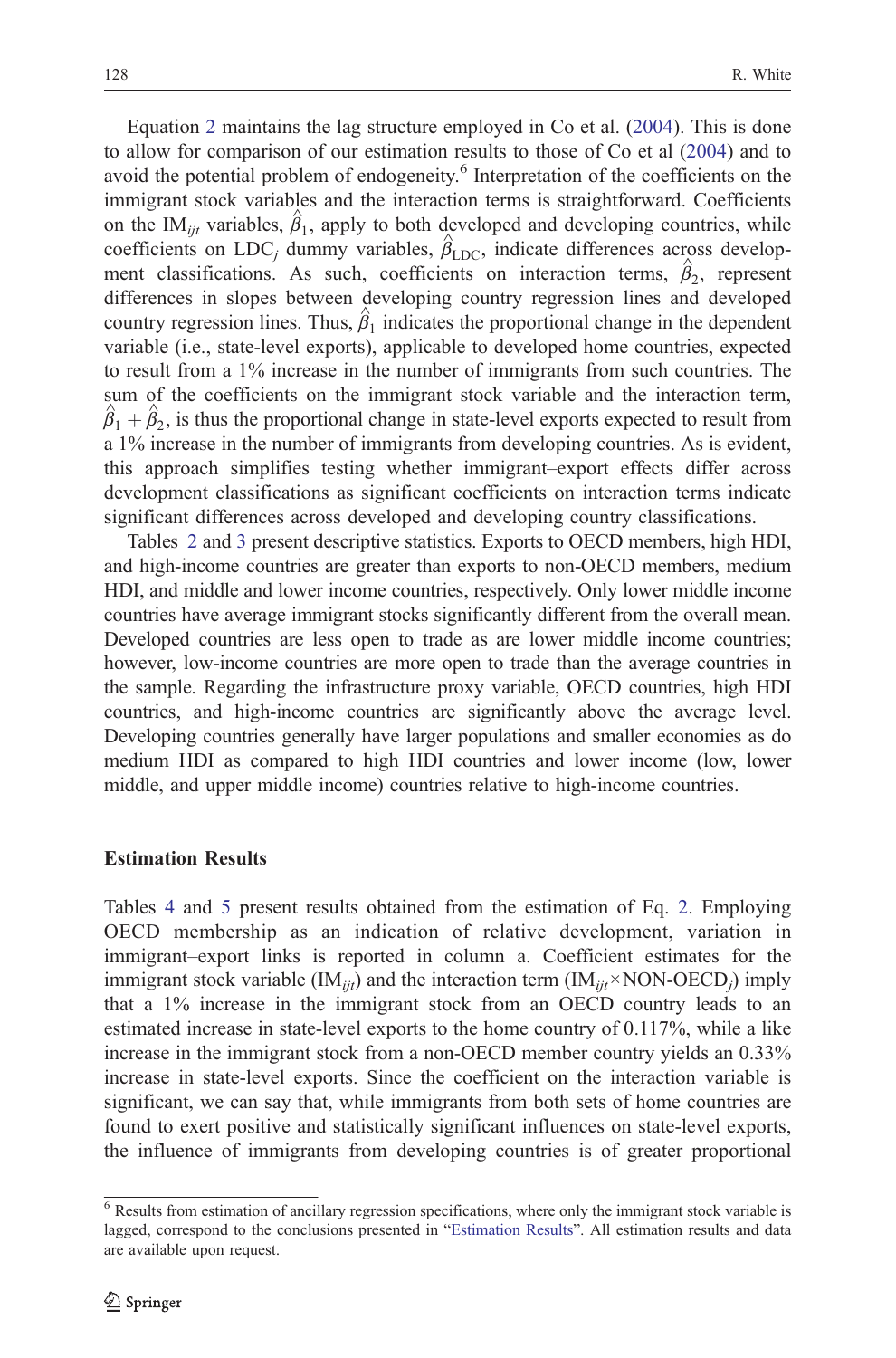Equation [2](#page-5-0) maintains the lag structure employed in Co et al. [\(2004](#page-22-0)). This is done to allow for comparison of our estimation results to those of Co et al ([2004\)](#page-22-0) and to avoid the potential problem of endogeneity.<sup>6</sup> Interpretation of the coefficients on the immigrant stock variables and the interaction terms is straightforward. Coefficients on the IM<sub>ijt</sub> variables,  $\hat{\beta}_1$ , apply to both developed and developing countries, while coefficients on LDC<sub>j</sub> dummy variables,  $\hat{\beta}_{\text{LDC}}$ , indicate differences across development classifications. As such, coefficients on interaction terms,  $\hat{\beta}_2$ , represent differences in slopes between developing country regression lines and developed country regression lines. Thus,  $\hat{\beta}_1$  indicates the proportional change in the dependent variable (i.e., state-level exports), applicable to developed home countries, expected to result from a 1% increase in the number of immigrants from such countries. The sum of the coefficients on the immigrant stock variable and the interaction term,  $\hat{\beta}_1 + \hat{\beta}_2$ , is thus the proportional change in state-level exports expected to result from a 1% increase in the number of immigrants from developing countries. As is evident, this approach simplifies testing whether immigrant–export effects differ across development classifications as significant coefficients on interaction terms indicate significant differences across developed and developing country classifications.

Tables [2](#page-9-0) and [3](#page-10-0) present descriptive statistics. Exports to OECD members, high HDI, and high-income countries are greater than exports to non-OECD members, medium HDI, and middle and lower income countries, respectively. Only lower middle income countries have average immigrant stocks significantly different from the overall mean. Developed countries are less open to trade as are lower middle income countries; however, low-income countries are more open to trade than the average countries in the sample. Regarding the infrastructure proxy variable, OECD countries, high HDI countries, and high-income countries are significantly above the average level. Developing countries generally have larger populations and smaller economies as do medium HDI as compared to high HDI countries and lower income (low, lower middle, and upper middle income) countries relative to high-income countries.

#### Estimation Results

Tables [4](#page-12-0) and [5](#page-13-0) present results obtained from the estimation of Eq. [2.](#page-5-0) Employing OECD membership as an indication of relative development, variation in immigrant–export links is reported in column a. Coefficient estimates for the immigrant stock variable (IM<sub>ijt</sub>) and the interaction term (IM<sub>ijt</sub>×NON-OECD<sub>i</sub>) imply that a 1% increase in the immigrant stock from an OECD country leads to an estimated increase in state-level exports to the home country of 0.117%, while a like increase in the immigrant stock from a non-OECD member country yields an 0.33% increase in state-level exports. Since the coefficient on the interaction variable is significant, we can say that, while immigrants from both sets of home countries are found to exert positive and statistically significant influences on state-level exports, the influence of immigrants from developing countries is of greater proportional

 $\overline{6}$  Results from estimation of ancillary regression specifications, where only the immigrant stock variable is lagged, correspond to the conclusions presented in "Estimation Results". All estimation results and data are available upon request.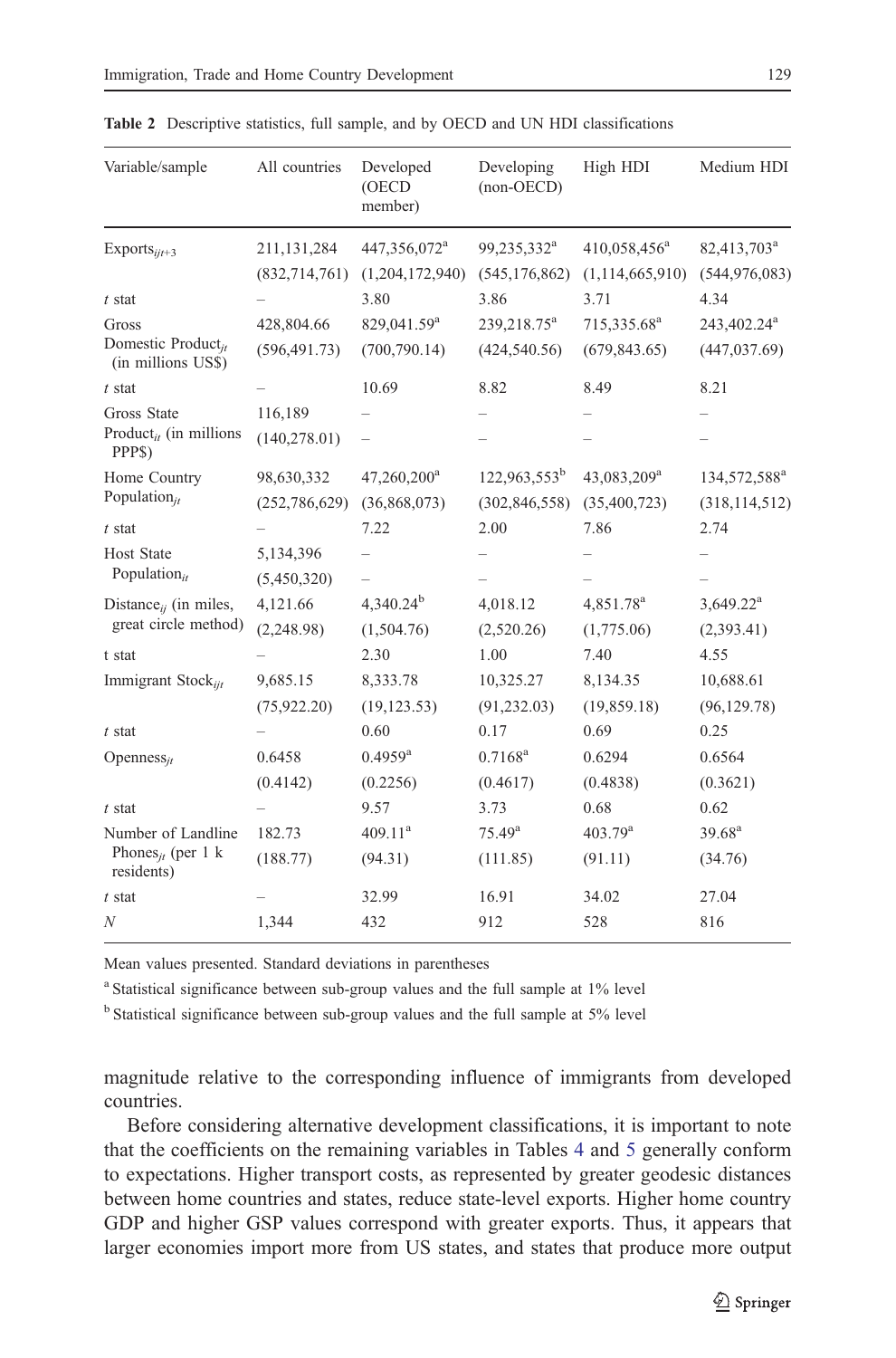| Variable/sample                                      | All countries   | Developed<br>(OECD<br>member) | Developing<br>$(non-OECD)$ | High HDI                  | Medium HDI               |
|------------------------------------------------------|-----------------|-------------------------------|----------------------------|---------------------------|--------------------------|
| $Exports_{iit+3}$                                    | 211, 131, 284   | 447,356,072 <sup>a</sup>      | 99,235,332 <sup>a</sup>    | $410,058,456^a$           | 82,413,703 <sup>a</sup>  |
|                                                      | (832, 714, 761) | (1,204,172,940)               | (545, 176, 862)            | (1, 114, 665, 910)        | (544, 976, 083)          |
| $t$ stat                                             |                 | 3.80                          | 3.86                       | 3.71                      | 4.34                     |
| Gross                                                | 428,804.66      | 829,041.59 <sup>a</sup>       | 239,218.75 <sup>a</sup>    | 715,335.68 <sup>a</sup>   | 243,402.24 <sup>a</sup>  |
| Domestic Product <sub>it</sub><br>(in millions US\$) | (596, 491.73)   | (700, 790.14)                 | (424, 540, 56)             | (679, 843.65)             | (447, 037.69)            |
| $t$ stat                                             |                 | 10.69                         | 8.82                       | 8.49                      | 8.21                     |
| Gross State                                          | 116,189         |                               |                            |                           |                          |
| Product <sub>it</sub> (in millions<br>PPP\$)         | (140, 278.01)   | $\overline{\phantom{0}}$      |                            |                           |                          |
| Home Country                                         | 98,630,332      | $47,260,200^a$                | $122,963,553^b$            | $43,083,209$ <sup>a</sup> | 134,572,588 <sup>a</sup> |
| Population $_{it}$                                   | (252, 786, 629) | (36,868,073)                  | (302, 846, 558)            | (35, 400, 723)            | (318, 114, 512)          |
| $t$ stat                                             |                 | 7.22                          | 2.00                       | 7.86                      | 2.74                     |
| <b>Host State</b>                                    | 5,134,396       |                               |                            |                           |                          |
| Population $_{it}$                                   | (5,450,320)     |                               |                            |                           |                          |
| Distance $_{ij}$ (in miles,                          | 4,121.66        | $4,340.24^b$                  | 4,018.12                   | 4,851.78 <sup>a</sup>     | $3,649.22^a$             |
| great circle method)                                 | (2,248.98)      | (1,504.76)                    | (2,520.26)                 | (1,775.06)                | (2,393.41)               |
| t stat                                               |                 | 2.30                          | 1.00                       | 7.40                      | 4.55                     |
| Immigrant Stock <sub>iit</sub>                       | 9,685.15        | 8,333.78                      | 10,325.27                  | 8,134.35                  | 10,688.61                |
|                                                      | (75, 922.20)    | (19, 123.53)                  | (91, 232.03)               | (19, 859.18)              | (96, 129.78)             |
| $t$ stat                                             |                 | 0.60                          | 0.17                       | 0.69                      | 0.25                     |
| Openness <sub>it</sub>                               | 0.6458          | $0.4959$ <sup>a</sup>         | $0.7168^{\rm a}$           | 0.6294                    | 0.6564                   |
|                                                      | (0.4142)        | (0.2256)                      | (0.4617)                   | (0.4838)                  | (0.3621)                 |
| $t$ stat                                             |                 | 9.57                          | 3.73                       | 0.68                      | 0.62                     |
| Number of Landline                                   | 182.73          | 409.11 <sup>a</sup>           | $75.49^{\rm a}$            | 403.79 <sup>a</sup>       | 39.68 <sup>a</sup>       |
| Phones <sub>it</sub> (per 1 k<br>residents)          | (188.77)        | (94.31)                       | (111.85)                   | (91.11)                   | (34.76)                  |
| $t$ stat                                             |                 | 32.99                         | 16.91                      | 34.02                     | 27.04                    |
| N                                                    | 1,344           | 432                           | 912                        | 528                       | 816                      |

<span id="page-9-0"></span>Table 2 Descriptive statistics, full sample, and by OECD and UN HDI classifications

Mean values presented. Standard deviations in parentheses

<sup>a</sup> Statistical significance between sub-group values and the full sample at 1% level

<sup>b</sup> Statistical significance between sub-group values and the full sample at 5% level

magnitude relative to the corresponding influence of immigrants from developed countries.

Before considering alternative development classifications, it is important to note that the coefficients on the remaining variables in Tables [4](#page-12-0) and [5](#page-13-0) generally conform to expectations. Higher transport costs, as represented by greater geodesic distances between home countries and states, reduce state-level exports. Higher home country GDP and higher GSP values correspond with greater exports. Thus, it appears that larger economies import more from US states, and states that produce more output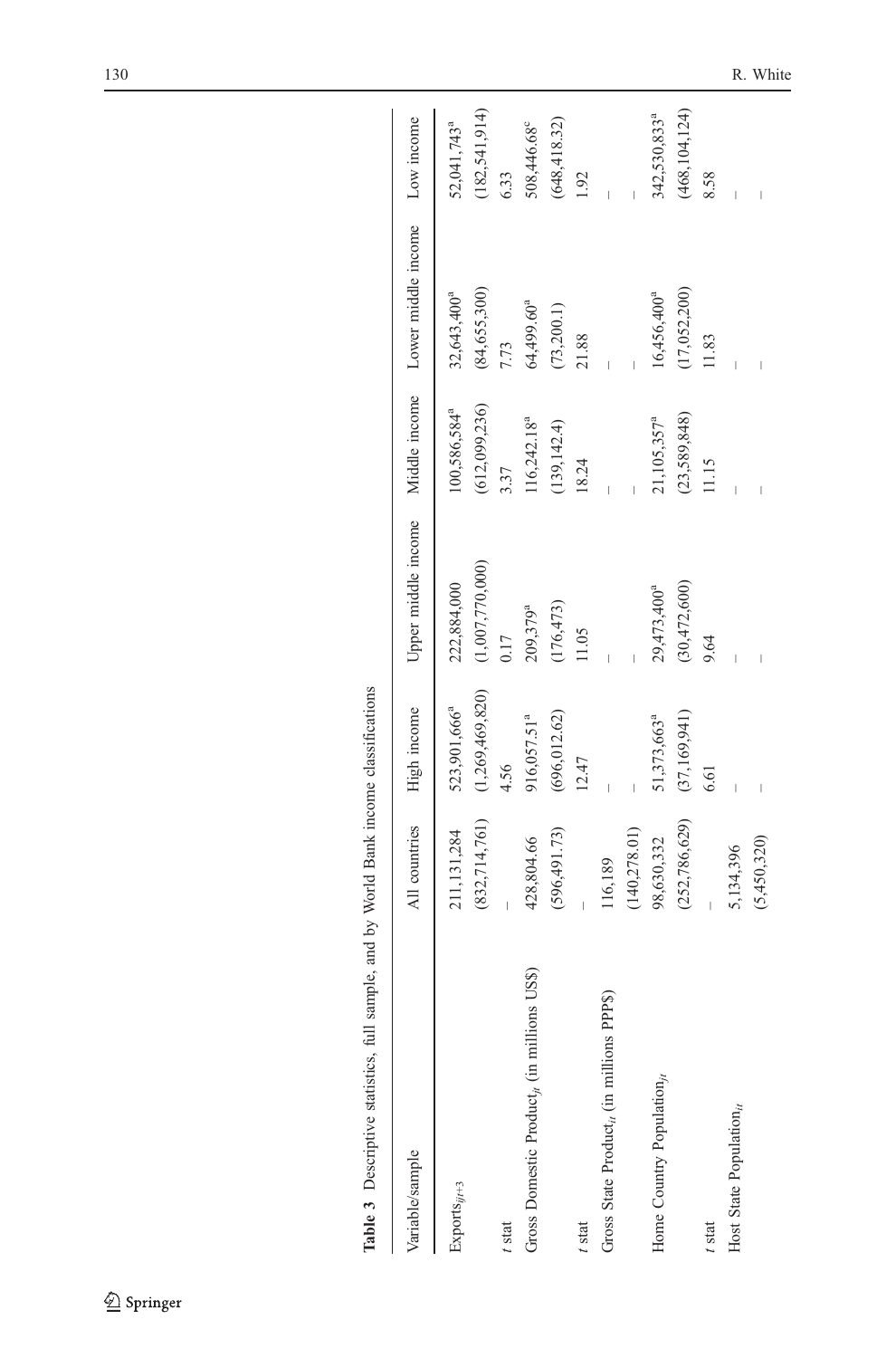<span id="page-10-0"></span>

| Variable/sample                                            |                 | All countries High income |                         |                          | Upper middle income Middle income Lower middle income Low income |                         |
|------------------------------------------------------------|-----------------|---------------------------|-------------------------|--------------------------|------------------------------------------------------------------|-------------------------|
| $Exports_{j/t+3}$                                          | 211,131,284     | 523,901,666 <sup>a</sup>  | 222,884,000             | 100,586,584 <sup>a</sup> | 32,643,400 <sup>a</sup>                                          | 52,041,743 <sup>a</sup> |
|                                                            | (832, 714, 761) | (1,269,469,820)           | (1,007,770,000)         | (612,099,236)            | (84, 655, 300)                                                   | (182, 541, 914)         |
| t stat                                                     |                 | 4.56                      | 0.17                    | 3.37                     | 7.73                                                             | 6.33                    |
| US\$)<br>Gross Domestic Product <sub>it</sub> (in millions | 428,804.66      | 916,057.51 <sup>a</sup>   | 209,379 <sup>a</sup>    | 16,242.18 <sup>a</sup>   | 64,499.60 <sup>a</sup>                                           | 508,446.68°             |
|                                                            | (596, 491.73)   | (696, 012.62)             | (176, 473)              | (139, 142.4)             | (73, 200.1)                                                      | (648, 418.32)           |
| t stat                                                     |                 | 12.47                     | 11.05                   | 18.24                    | 21.88                                                            | 1.92                    |
| Gross State Product <sub>it</sub> (in millions PPP\$)      | 116,189         |                           |                         |                          |                                                                  |                         |
|                                                            | (140, 278.01)   |                           |                         |                          |                                                                  |                         |
| Home Country Population $_{it}$                            | 98,630,332      | 51,373,663ª               | 29,473,400 <sup>a</sup> | 21,105,357 <sup>a</sup>  | $16,456,400^{a}$                                                 | 342,530,833ª            |
|                                                            | (252, 786, 629) | (37, 169, 941)            | (30,472,600)            | (23,589,848)             | (17,052,200)                                                     | (468, 104, 124)         |
| t stat                                                     |                 | 6.61                      | 9.64                    | 11.15                    | 11.83                                                            | 8.58                    |
| Host State Population $_{it}$                              | 5,134,396       |                           |                         |                          |                                                                  |                         |
|                                                            | (5,450,320)     | $\overline{\phantom{a}}$  |                         |                          |                                                                  |                         |

Table 3 Descriptive statistics, full sample, and by World Bank income classifications Table 3 Descriptive statistics, full sample, and by World Bank income classifications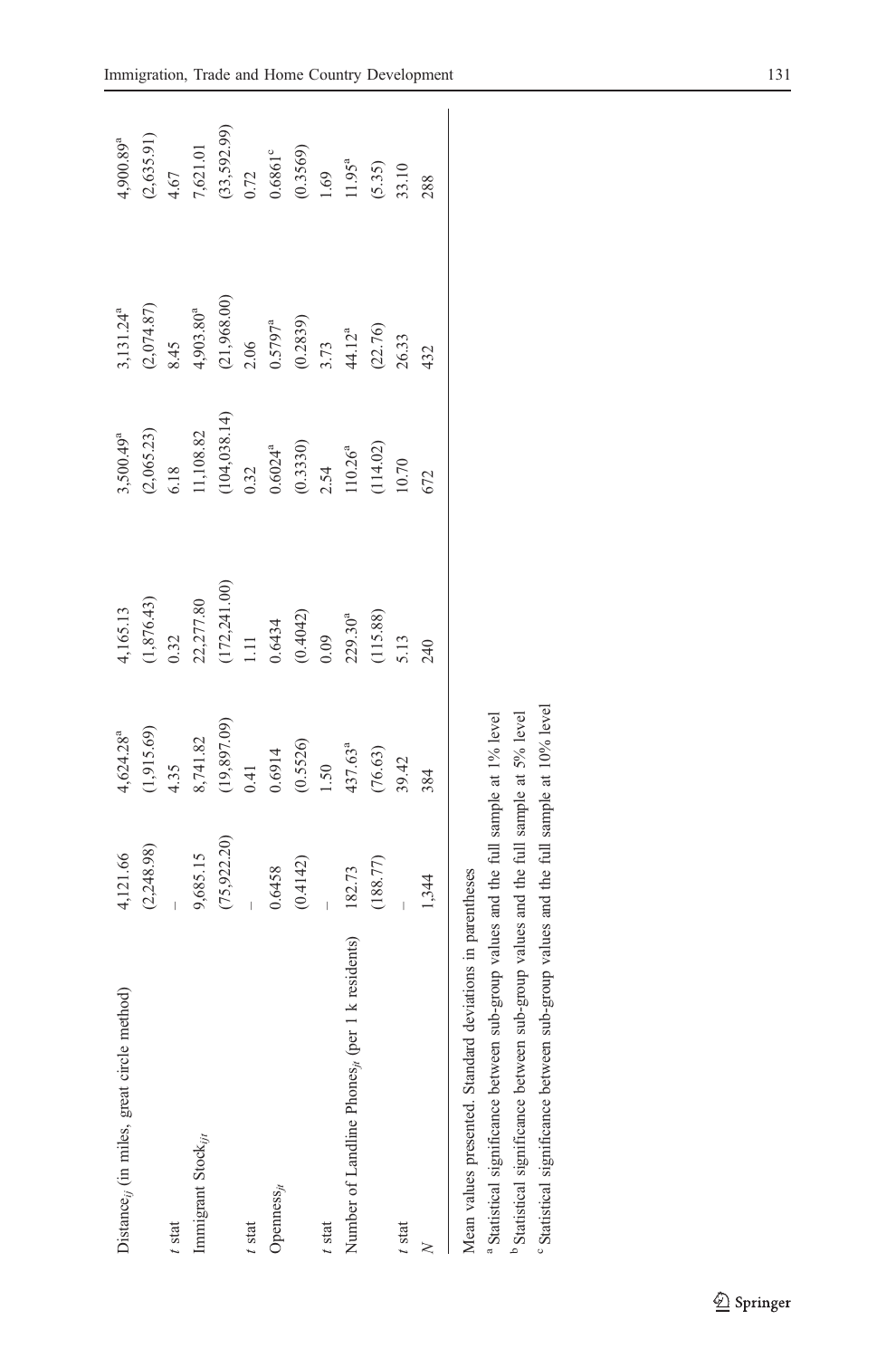| Distance <sub>ii</sub> (in miles, great circle method)         |                         |                                                                                     | 4,165.13                                                                                                                                               |                                                                                                                         |                                                                                                                                                                     |                                                                                                                                                                                           |
|----------------------------------------------------------------|-------------------------|-------------------------------------------------------------------------------------|--------------------------------------------------------------------------------------------------------------------------------------------------------|-------------------------------------------------------------------------------------------------------------------------|---------------------------------------------------------------------------------------------------------------------------------------------------------------------|-------------------------------------------------------------------------------------------------------------------------------------------------------------------------------------------|
|                                                                | 4,121.66<br>(2,248.98)  | $4,624.28^a$<br>(1,915.69)                                                          |                                                                                                                                                        | 3,500.49 <sup>a</sup><br>(2,065.23)<br>6.18<br>11,108.82<br>11,108.82                                                   | 3, 131.24 <sup>a</sup><br>(2, 074.87)<br>8. 45<br>4, 903.80 <sup>a</sup><br>(21, 968.00)<br>0.5797 <sup>a</sup><br>0.2839)<br>(22.76)<br>3.73<br>44.12 <sup>a</sup> | 4,900.89 <sup>a</sup><br>(2,635.91)<br>(3,635.91)<br>7,621.01<br>(33,592.99)<br>0.72<br>0.6861 <sup>c</sup><br>0.69<br>1.95 <sup>a</sup><br>1.95 <sup>a</sup><br>(3.55)<br>33.10<br>33.10 |
| stat                                                           |                         | 4.35                                                                                |                                                                                                                                                        |                                                                                                                         |                                                                                                                                                                     |                                                                                                                                                                                           |
| Immigrant Stock <sub>ijt</sub>                                 |                         |                                                                                     |                                                                                                                                                        |                                                                                                                         |                                                                                                                                                                     |                                                                                                                                                                                           |
|                                                                | 9,685.15<br>(75,922.20) | 8,741.82<br>(19,897.09)                                                             |                                                                                                                                                        |                                                                                                                         |                                                                                                                                                                     |                                                                                                                                                                                           |
| : stat                                                         |                         | 0.41                                                                                |                                                                                                                                                        |                                                                                                                         |                                                                                                                                                                     |                                                                                                                                                                                           |
| Openness $_{ji}$                                               | 0.6458                  |                                                                                     | $\begin{array}{l} (1,876.43) \\ 0.32 \\ 22,277.80 \\ (172,241.00) \\ 1.11 \\ 0.6434 \\ 0.0422 \\ 0.09 \\ 0.09 \\ 2.93.30^a \\ (115.88) \\ \end{array}$ | $0.32$<br>$0.6024$ <sup>a</sup><br>$0.602330$<br>$0.3330$<br>$0.3330$<br>$1.026$ <sup>a</sup><br>$114.02$<br>$(114.02)$ |                                                                                                                                                                     |                                                                                                                                                                                           |
|                                                                | (0.4142)                |                                                                                     |                                                                                                                                                        |                                                                                                                         |                                                                                                                                                                     |                                                                                                                                                                                           |
| stat                                                           |                         |                                                                                     |                                                                                                                                                        |                                                                                                                         |                                                                                                                                                                     |                                                                                                                                                                                           |
| k residents)<br>Number of Landline Phones <sub>it</sub> (per 1 | 182.73                  |                                                                                     |                                                                                                                                                        |                                                                                                                         |                                                                                                                                                                     |                                                                                                                                                                                           |
|                                                                | (188.77)                | $0.6914$<br>$(0.5526)$<br>$1.50$<br>$437.63$ <sup>a</sup><br>$(76.63)$<br>$(76.63)$ |                                                                                                                                                        |                                                                                                                         |                                                                                                                                                                     |                                                                                                                                                                                           |
| t stat                                                         |                         |                                                                                     |                                                                                                                                                        |                                                                                                                         |                                                                                                                                                                     |                                                                                                                                                                                           |
|                                                                | 1,344                   | 384                                                                                 |                                                                                                                                                        | 572                                                                                                                     | 432                                                                                                                                                                 |                                                                                                                                                                                           |

<sup>a</sup> Statistical significance between sub-group values and the full sample at 1% level Statistical significance between sub-group values and the full sample at 1% level b Statistical significance between sub-group values and the full sample at 5% level 'Statistical significance between sub-group values and the full sample at 10% level Statistical significance between sub-group values and the full sample at 10% level

<sup>b</sup> Statistical significance between sub-group values and the full sample at 5% level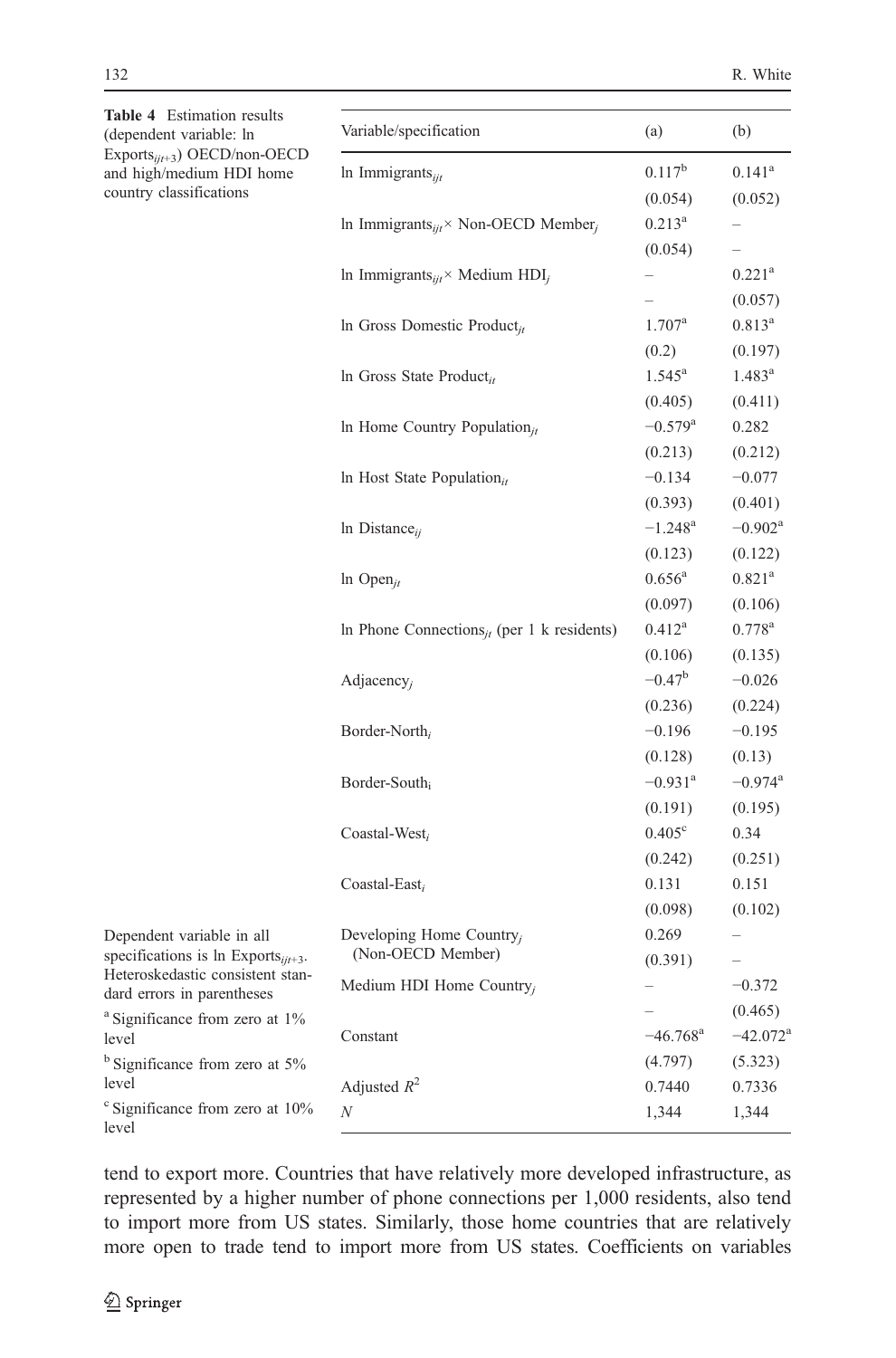<span id="page-12-0"></span>

| Table 4 Estimation results<br>(dependent variable: ln           | Variable/specification                                      | (a)                    | (b)                    |
|-----------------------------------------------------------------|-------------------------------------------------------------|------------------------|------------------------|
| $Exports_{ijt+3}$ ) OECD/non-OECD<br>and high/medium HDI home   | In Immigrants $_{ii}$                                       | $0.117^{b}$            | $0.141^{a}$            |
| country classifications                                         |                                                             | (0.054)                | (0.052)                |
|                                                                 | In Immigrants <sub>iit</sub> × Non-OECD Member <sub>i</sub> | $0.213^{\rm a}$        |                        |
|                                                                 |                                                             | (0.054)                |                        |
|                                                                 | In Immigrants <sub>iit</sub> × Medium HDI <sub>i</sub>      |                        | $0.221^{\rm a}$        |
|                                                                 |                                                             |                        | (0.057)                |
|                                                                 | In Gross Domestic Product <sub>it</sub>                     | $1.707^{\rm a}$        | $0.813^{\rm a}$        |
|                                                                 |                                                             | (0.2)                  | (0.197)                |
|                                                                 | In Gross State Product <sub>it</sub>                        | $1.545^{\rm a}$        | $1.483^{\rm a}$        |
|                                                                 |                                                             | (0.405)                | (0.411)                |
|                                                                 | In Home Country Population $_{it}$                          | $-0.579$ <sup>a</sup>  | 0.282                  |
|                                                                 |                                                             | (0.213)                | (0.212)                |
|                                                                 | In Host State Population $_{it}$                            | $-0.134$               | $-0.077$               |
|                                                                 |                                                             | (0.393)                | (0.401)                |
|                                                                 | In Distance <sub>ii</sub>                                   | $-1.248$ <sup>a</sup>  | $-0.902$ <sup>a</sup>  |
|                                                                 |                                                             | (0.123)                | (0.122)                |
|                                                                 | $ln \text{ Open}_{it}$                                      | $0.656^{\rm a}$        | $0.821^{\rm a}$        |
|                                                                 |                                                             | (0.097)                | (0.106)                |
|                                                                 | In Phone Connections <sub>it</sub> (per 1 k residents)      | $0.412^{\rm a}$        | $0.778^{a}$            |
|                                                                 |                                                             | (0.106)                | (0.135)                |
|                                                                 | $Adjacency_i$                                               | $-0.47^{\rm b}$        | $-0.026$               |
|                                                                 |                                                             | (0.236)                | (0.224)                |
|                                                                 | Border-North <sub>i</sub>                                   | $-0.196$               | $-0.195$               |
|                                                                 |                                                             | (0.128)                | (0.13)                 |
|                                                                 | Border-South;                                               | $-0.931$ <sup>a</sup>  | $-0.974$ <sup>a</sup>  |
|                                                                 |                                                             | (0.191)                | (0.195)                |
|                                                                 | $\text{Coastal-West}_{i}$                                   | $0.405^{\circ}$        | 0.34                   |
|                                                                 |                                                             | (0.242)                | (0.251)                |
|                                                                 | $\text{Coastal-East}_i$                                     | 0.131                  | 0.151                  |
|                                                                 |                                                             | (0.098)                | (0.102)                |
| Dependent variable in all                                       | Developing Home Country,                                    | 0.269                  |                        |
| specifications is $\ln$ Exports <sub>iit+3</sub> .              | (Non-OECD Member)                                           | (0.391)                |                        |
| Heteroskedastic consistent stan-<br>dard errors in parentheses  | Medium HDI Home Country,                                    |                        | $-0.372$               |
| <sup>a</sup> Significance from zero at 1%                       |                                                             |                        | (0.465)                |
| level                                                           | Constant                                                    | $-46.768$ <sup>a</sup> | $-42.072$ <sup>a</sup> |
| <sup>b</sup> Significance from zero at 5%                       |                                                             | (4.797)                | (5.323)                |
| level                                                           | Adjusted $R^2$                                              | 0.7440                 | 0.7336                 |
| <sup>c</sup> Significance from zero at 10%<br>$20~\mathrm{rad}$ | $\boldsymbol{N}$                                            | 1,344                  | 1,344                  |

tend to export more. Countries that have relatively more developed infrastructure, as represented by a higher number of phone connections per 1,000 residents, also tend to import more from US states. Similarly, those home countries that are relatively more open to trade tend to import more from US states. Coefficients on variables

level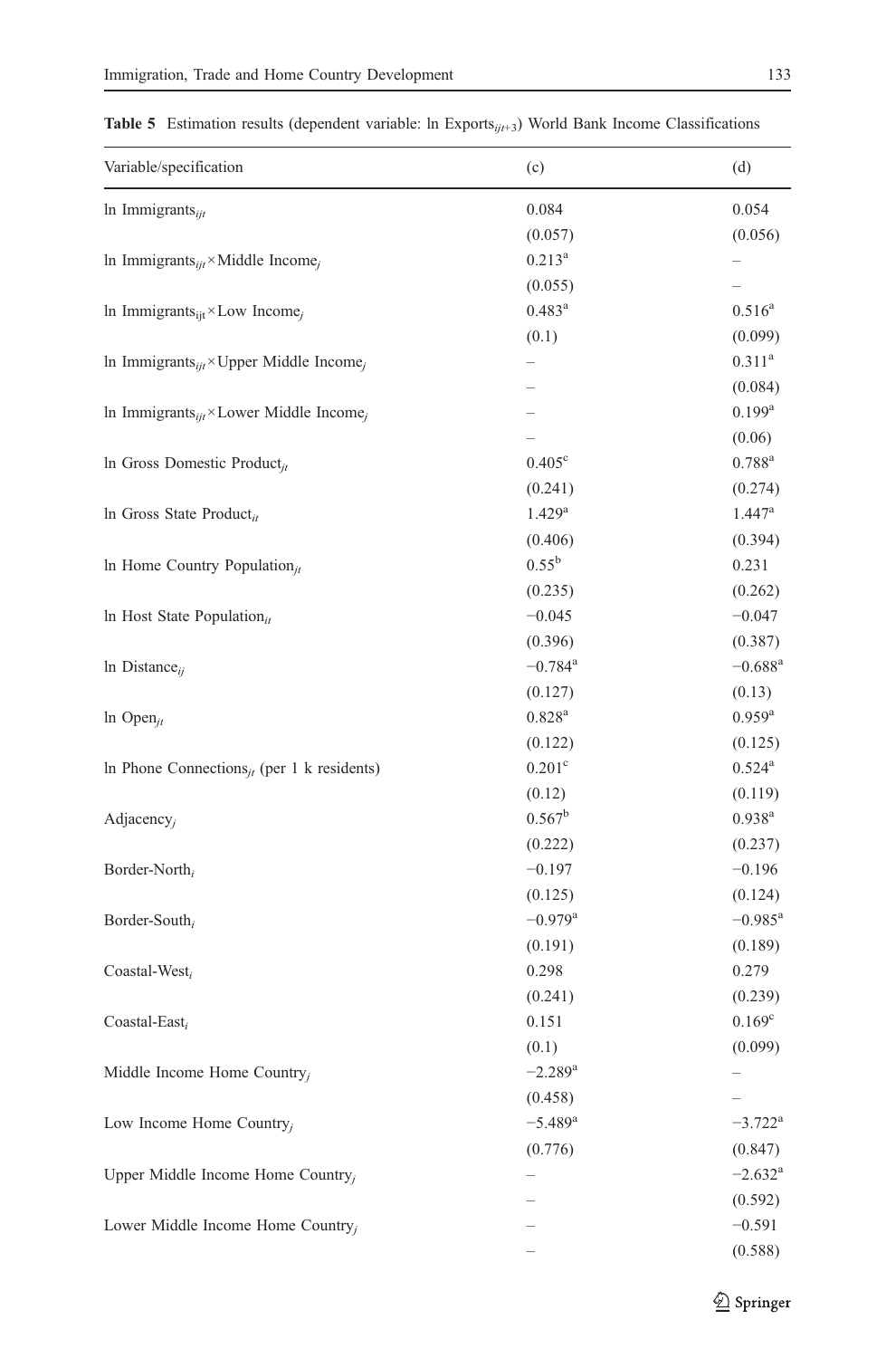| Variable/specification                                         | (c)                   | (d)                   |
|----------------------------------------------------------------|-----------------------|-----------------------|
| In Immigrants $_{ijt}$                                         | 0.084                 | 0.054                 |
|                                                                | (0.057)               | (0.056)               |
| In Immigrants <sub>ijt</sub> ×Middle Income <sub>j</sub>       | $0.213^{a}$           |                       |
|                                                                | (0.055)               |                       |
| In Immigrants <sub>ijt</sub> ×Low Income <sub>j</sub>          | $0.483^{a}$           | $0.516^{\rm a}$       |
|                                                                | (0.1)                 | (0.099)               |
| In Immigrants <sub>ijt</sub> ×Upper Middle Income <sub>j</sub> |                       | $0.311^{\rm a}$       |
|                                                                |                       | (0.084)               |
| In Immigrants <sub>iit</sub> ×Lower Middle Income <sub>i</sub> |                       | $0.199^{a}$           |
|                                                                |                       | (0.06)                |
| In Gross Domestic Product $_{it}$                              | $0.405^{\circ}$       | $0.788^{\rm a}$       |
|                                                                | (0.241)               | (0.274)               |
| In Gross State Product $_{it}$                                 | 1.429 <sup>a</sup>    | $1.447^{\rm a}$       |
|                                                                | (0.406)               | (0.394)               |
| In Home Country Population $_{it}$                             | $0.55^{b}$            | 0.231                 |
|                                                                | (0.235)               | (0.262)               |
| In Host State Population $_{it}$                               | $-0.045$              | $-0.047$              |
|                                                                | (0.396)               | (0.387)               |
| In Distance <sub>ii</sub>                                      | $-0.784$ <sup>a</sup> | $-0.688$ <sup>a</sup> |
|                                                                | (0.127)               | (0.13)                |
| $ln \text{ Open}_{it}$                                         | $0.828^{\rm a}$       | $0.959^{a}$           |
|                                                                | (0.122)               | (0.125)               |
| In Phone Connections $_{jt}$ (per 1 k residents)               | $0.201$ c             | $0.524^{\rm a}$       |
|                                                                | (0.12)                | (0.119)               |
| Adjacency <sub>i</sub>                                         | $0.567^{\rm b}$       | $0.938^{a}$           |
|                                                                | (0.222)               | (0.237)               |
| Border-North <sub>i</sub>                                      | $-0.197$              | $-0.196$              |
|                                                                | (0.125)               | (0.124)               |
| Border-South <sub>i</sub>                                      | $-0.979$ <sup>a</sup> | $-0.985$ <sup>a</sup> |
|                                                                | (0.191)               | (0.189)               |
| Coastal-West $_i$                                              | 0.298                 | 0.279                 |
|                                                                | (0.241)               | (0.239)               |
| $\text{Coastal-East}_i$                                        | 0.151                 | $0.169^c$             |
|                                                                | (0.1)                 | (0.099)               |
|                                                                | $-2.289$ <sup>a</sup> |                       |
| Middle Income Home Country,                                    | (0.458)               |                       |
| Low Income Home Country,                                       | $-5.489$ <sup>a</sup> | $-3.722$ <sup>a</sup> |
|                                                                |                       |                       |
|                                                                | (0.776)               | (0.847)               |
| Upper Middle Income Home Country,                              |                       | $-2.632$ <sup>a</sup> |
|                                                                |                       | (0.592)               |
| Lower Middle Income Home Country,                              |                       | $-0.591$              |
|                                                                |                       | (0.588)               |

<span id="page-13-0"></span>Table 5 Estimation results (dependent variable: ln Exports $_{ijt+3}$ ) World Bank Income Classifications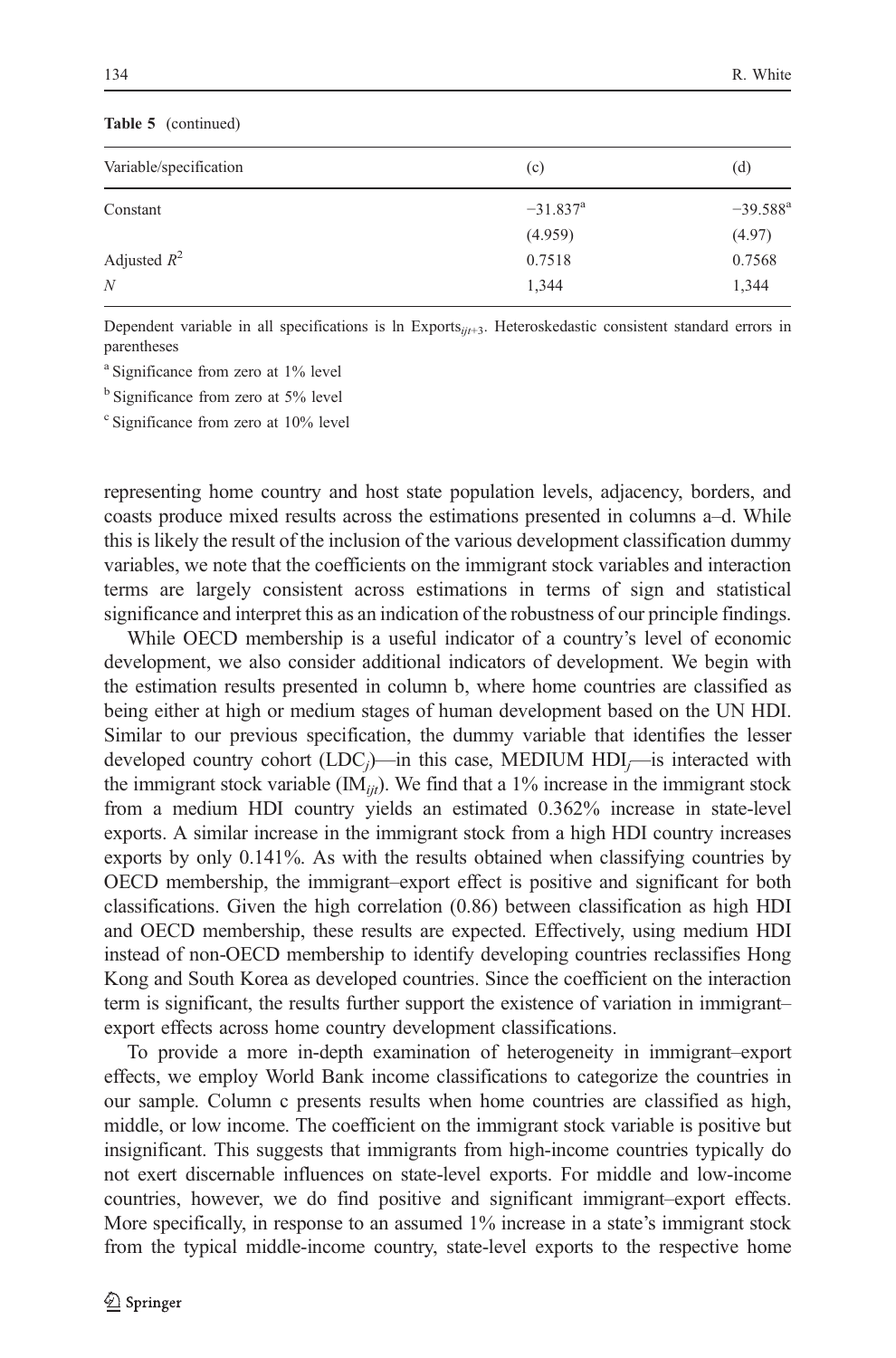| R. White<br>134 |  |  |  |  |  |  |
|-----------------|--|--|--|--|--|--|
|-----------------|--|--|--|--|--|--|

| (d)                                              |
|--------------------------------------------------|
| $-39.588$ <sup>a</sup><br>$-31.837$ <sup>a</sup> |
| (4.97)                                           |
| 0.7568                                           |
| 1,344                                            |
|                                                  |

#### Table 5 (continued)

Dependent variable in all specifications is ln Exports $_{ijt+3}$ . Heteroskedastic consistent standard errors in parentheses

<sup>a</sup> Significance from zero at 1% level

<sup>b</sup> Significance from zero at 5% level

 $\degree$  Significance from zero at 10% level

representing home country and host state population levels, adjacency, borders, and coasts produce mixed results across the estimations presented in columns a–d. While this is likely the result of the inclusion of the various development classification dummy variables, we note that the coefficients on the immigrant stock variables and interaction terms are largely consistent across estimations in terms of sign and statistical significance and interpret this as an indication of the robustness of our principle findings.

While OECD membership is a useful indicator of a country's level of economic development, we also consider additional indicators of development. We begin with the estimation results presented in column b, where home countries are classified as being either at high or medium stages of human development based on the UN HDI. Similar to our previous specification, the dummy variable that identifies the lesser developed country cohort  $(LDC_i)$ —in this case, MEDIUM HDI<sub>*i*</sub>—is interacted with the immigrant stock variable  $(IM_{ijt})$ . We find that a 1% increase in the immigrant stock from a medium HDI country yields an estimated 0.362% increase in state-level exports. A similar increase in the immigrant stock from a high HDI country increases exports by only 0.141%. As with the results obtained when classifying countries by OECD membership, the immigrant–export effect is positive and significant for both classifications. Given the high correlation (0.86) between classification as high HDI and OECD membership, these results are expected. Effectively, using medium HDI instead of non-OECD membership to identify developing countries reclassifies Hong Kong and South Korea as developed countries. Since the coefficient on the interaction term is significant, the results further support the existence of variation in immigrant– export effects across home country development classifications.

To provide a more in-depth examination of heterogeneity in immigrant–export effects, we employ World Bank income classifications to categorize the countries in our sample. Column c presents results when home countries are classified as high, middle, or low income. The coefficient on the immigrant stock variable is positive but insignificant. This suggests that immigrants from high-income countries typically do not exert discernable influences on state-level exports. For middle and low-income countries, however, we do find positive and significant immigrant–export effects. More specifically, in response to an assumed 1% increase in a state's immigrant stock from the typical middle-income country, state-level exports to the respective home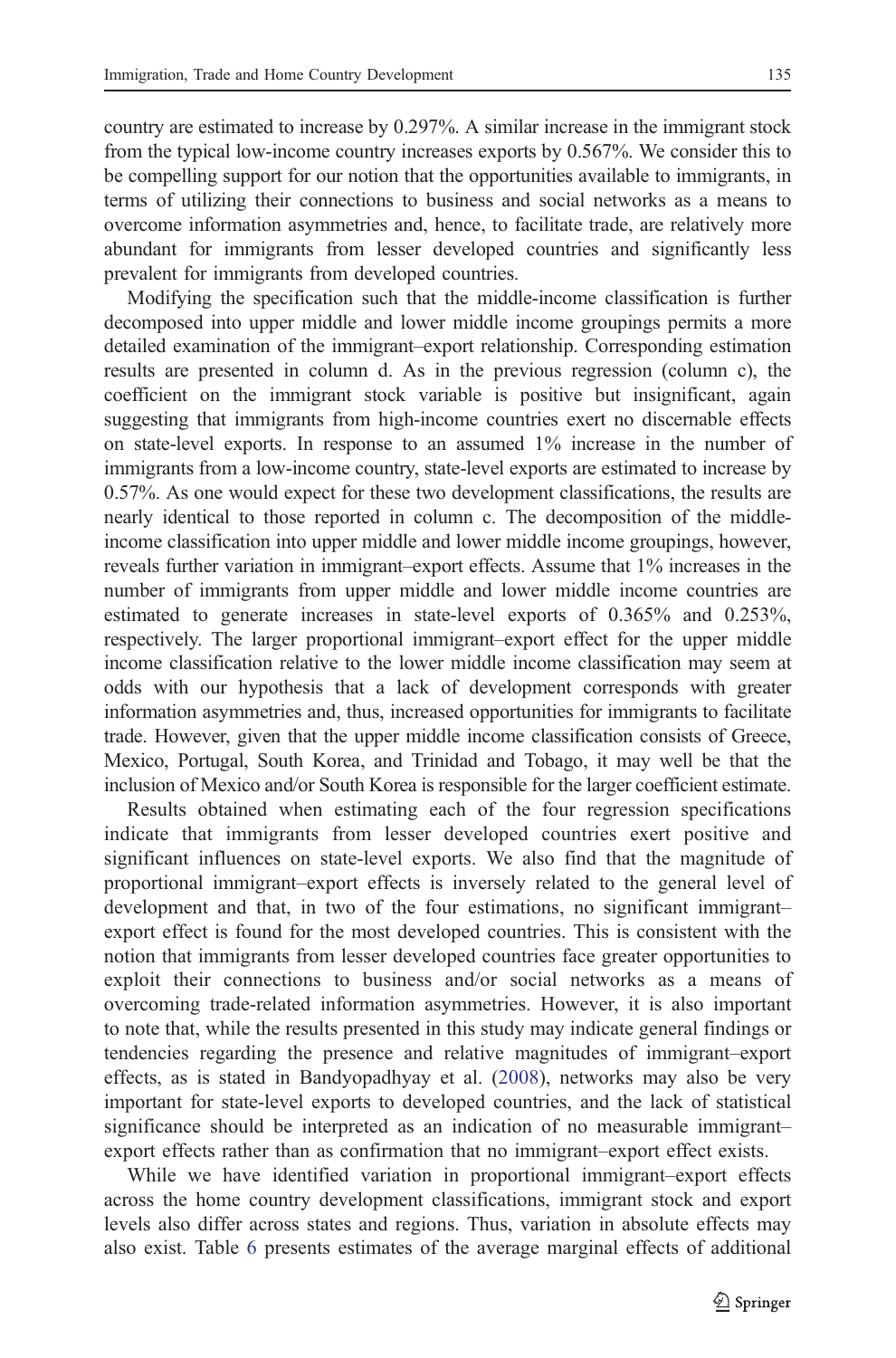country are estimated to increase by 0.297%. A similar increase in the immigrant stock from the typical low-income country increases exports by 0.567%. We consider this to be compelling support for our notion that the opportunities available to immigrants, in terms of utilizing their connections to business and social networks as a means to overcome information asymmetries and, hence, to facilitate trade, are relatively more abundant for immigrants from lesser developed countries and significantly less prevalent for immigrants from developed countries.

Modifying the specification such that the middle-income classification is further decomposed into upper middle and lower middle income groupings permits a more detailed examination of the immigrant–export relationship. Corresponding estimation results are presented in column d. As in the previous regression (column c), the coefficient on the immigrant stock variable is positive but insignificant, again suggesting that immigrants from high-income countries exert no discernable effects on state-level exports. In response to an assumed 1% increase in the number of immigrants from a low-income country, state-level exports are estimated to increase by 0.57%. As one would expect for these two development classifications, the results are nearly identical to those reported in column c. The decomposition of the middleincome classification into upper middle and lower middle income groupings, however, reveals further variation in immigrant–export effects. Assume that 1% increases in the number of immigrants from upper middle and lower middle income countries are estimated to generate increases in state-level exports of 0.365% and 0.253%, respectively. The larger proportional immigrant–export effect for the upper middle income classification relative to the lower middle income classification may seem at odds with our hypothesis that a lack of development corresponds with greater information asymmetries and, thus, increased opportunities for immigrants to facilitate trade. However, given that the upper middle income classification consists of Greece, Mexico, Portugal, South Korea, and Trinidad and Tobago, it may well be that the inclusion of Mexico and/or South Korea is responsible for the larger coefficient estimate.

Results obtained when estimating each of the four regression specifications indicate that immigrants from lesser developed countries exert positive and significant influences on state-level exports. We also find that the magnitude of proportional immigrant–export effects is inversely related to the general level of development and that, in two of the four estimations, no significant immigrant– export effect is found for the most developed countries. This is consistent with the notion that immigrants from lesser developed countries face greater opportunities to exploit their connections to business and/or social networks as a means of overcoming trade-related information asymmetries. However, it is also important to note that, while the results presented in this study may indicate general findings or tendencies regarding the presence and relative magnitudes of immigrant–export effects, as is stated in Bandyopadhyay et al. ([2008\)](#page-21-0), networks may also be very important for state-level exports to developed countries, and the lack of statistical significance should be interpreted as an indication of no measurable immigrant– export effects rather than as confirmation that no immigrant–export effect exists.

While we have identified variation in proportional immigrant–export effects across the home country development classifications, immigrant stock and export levels also differ across states and regions. Thus, variation in absolute effects may also exist. Table [6](#page-16-0) presents estimates of the average marginal effects of additional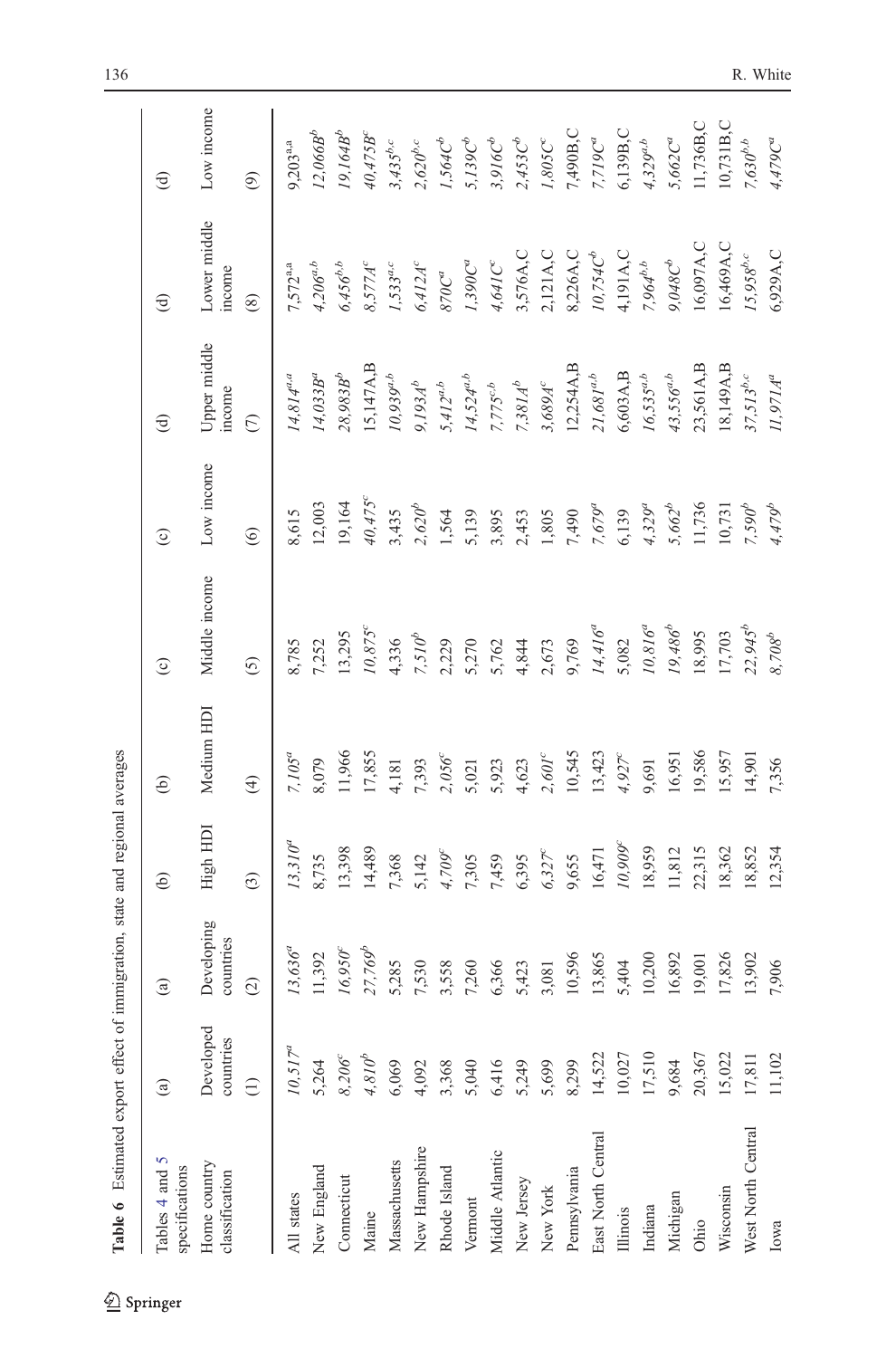<span id="page-16-0"></span>

| Tables 4 and 5<br>specifications | $\mathbf{\widehat{a}}$ | $\widehat{a}$           | ව           | ê               | $\odot$            | $\odot$             | ਰਿ                     | $\widehat{\sigma}$     | $\widehat{\sigma}$   |
|----------------------------------|------------------------|-------------------------|-------------|-----------------|--------------------|---------------------|------------------------|------------------------|----------------------|
| Home country<br>classification   | Developed<br>countries | Developing<br>countries | High HDI    | Medium HDI      | Middle income      | Low income          | Upper middle<br>income | Lower middle<br>income | Low income           |
|                                  | $\widehat{\Xi}$        | $\odot$                 | $\odot$     | $\bigoplus$     | $\odot$            | $\odot$             | $\odot$                | $\circledast$          | $\circledcirc$       |
| All states                       | $10,517^a$             | $13,636^a$              | $13,310^a$  | $7,105^a$       | 8,785              | 8,615               | $14,814^{a,a}$         | $7,572^{a,a}$          | $9,203^{a,a}$        |
| New England                      | 5,264                  | 11,392                  | 8,735       | 8,079           | 7,252              | 12,003              | $14,033B^a$            | $4,206^{a,b}$          | $12,066B^b$          |
| Connecticut                      | $8,206^\circ$          | $16,950^{\circ}$        | 13,398      | 11,966          | 13,295             | 19,164              | $28{,}983B^b$          | $6,456^{b,b}$          | 19,164B <sup>b</sup> |
| Maine                            | $4,810^b$              | $27,769^{b}$            | 14,489      | 17,855          | $10,875^{c}$       | 40,475 <sup>c</sup> | 15,147A, B             | $8,577A^c$             | $40,475B^c$          |
| Massachusetts                    | 6,069                  | 5,285                   | 7,368       | 4,181           | 4,336              | 3,435               | $10,939^{a,b}$         | $1,533^{a,c}$          | $3,435^{b,c}$        |
| New Hampshire                    | 4,092                  | 7,530                   | 5,142       | 7,393           | 7,510 <sup>b</sup> | $2,620^{b}$         | $9,193A^{b}$           | $6.412A^{c}$           | $2,620^{b,c}$        |
| Rhode Island                     | 3,368                  | 3,558                   | 4,709°      | $2,056^\circ$   | 2,229              | 1,564               | $5,412^{a,b}$          | 870Cª                  | $1,564C^{b}$         |
| Vernont                          | 5,040                  | 7,260                   | 7,305       | 5,021           | 5,270              | 5,139               | $14,524^{a,b}$         | 1,390C <sup>a</sup>    | $5.139C^b$           |
| Middle Atlantic                  | 6,416                  | 6,366                   | 7,459       | 5,923           | 5,762              | 3,895               | $7,775^{cb}$           | 4,641C°                | $3,916C^{b}$         |
| New Jersey                       | 5,249                  | 5,423                   | 6,395       | 4,623           | 4,844              | 2,453               | $7,381A^b$             | 3,576A,C               | $2,453C^{b}$         |
| New York                         | 5,699                  | 3,081                   | $6.327^{c}$ | $2,601^c$       | 2,673              | 1,805               | $3,689A^{c}$           | 2,121A,C               | 1,805Cc              |
| Pennsylvania                     | 8,299                  | 10,596                  | 9,655       | 10,545          | 9,769              | 7,490               | 12,254A,B              | 8,226A,C               | 7,490B,C             |
| East North Central               | 14,522                 | 13,865                  | 16,471      | 13,423          | $14,416^a$         | 7,67 $9^a$          | $21,681^{a,b}$         | $10,754C^{b}$          | 7,719C <sup>a</sup>  |
| Illinois                         | 10,027                 | 5,404                   | $10,909^c$  | $4.927^{\circ}$ | 5,082              | 6,139               | 6,603A,B               | 4,191A,C               | 6,139B,C             |
| Indiana                          | 17,510                 | 10,200                  | 18,959      | 9,691           | $10,816^a$         | $4,329^{a}$         | $16,535^{a,b}$         | $7,964^{b,b}$          | $4,329^{a,b}$        |
| Michigan                         | 9,684                  | 16,892                  | 11,812      | 16,951          | $19,486^{b}$       | $5,662^{b}$         | $43,556^{a,b}$         | $9.048C^b$             | $5,662C^a$           |
| Ohio                             | 20,367                 | 19,001                  | 22,315      | 19,586          | 18,995             | 11,736              | 23,561A,B              | 16,097A,C              | 11,736B,C            |
| Wisconsin                        | 15,022                 | 17,826                  | 18,362      | 15,957          | 17,703             | 10,731              | 18,149A,B              | 16,469A,C              | $10,731B$ ,C         |
| West North Central               | 17,811                 | 13,902                  | 18,852      | 14,901          | $22,945^{b}$       | $7,590^b$           | $37,513^{b,c}$         | $15,958^{b,c}$         | $7,630^{b,b}$        |
| Iowa                             | 11,102                 | 7,906                   | 12,354      | 7,356           | $8,708^b$          | $4,479^{b}$         | $11,971A^a$            | 6,929A,C               | 4,479C <sup>a</sup>  |

Table 6 Estimated export effect of immigration, state and regional averages Table 6 Estimated export effect of immigration, state and regional averages

 $\underline{\textcircled{\tiny 2}}$  Springer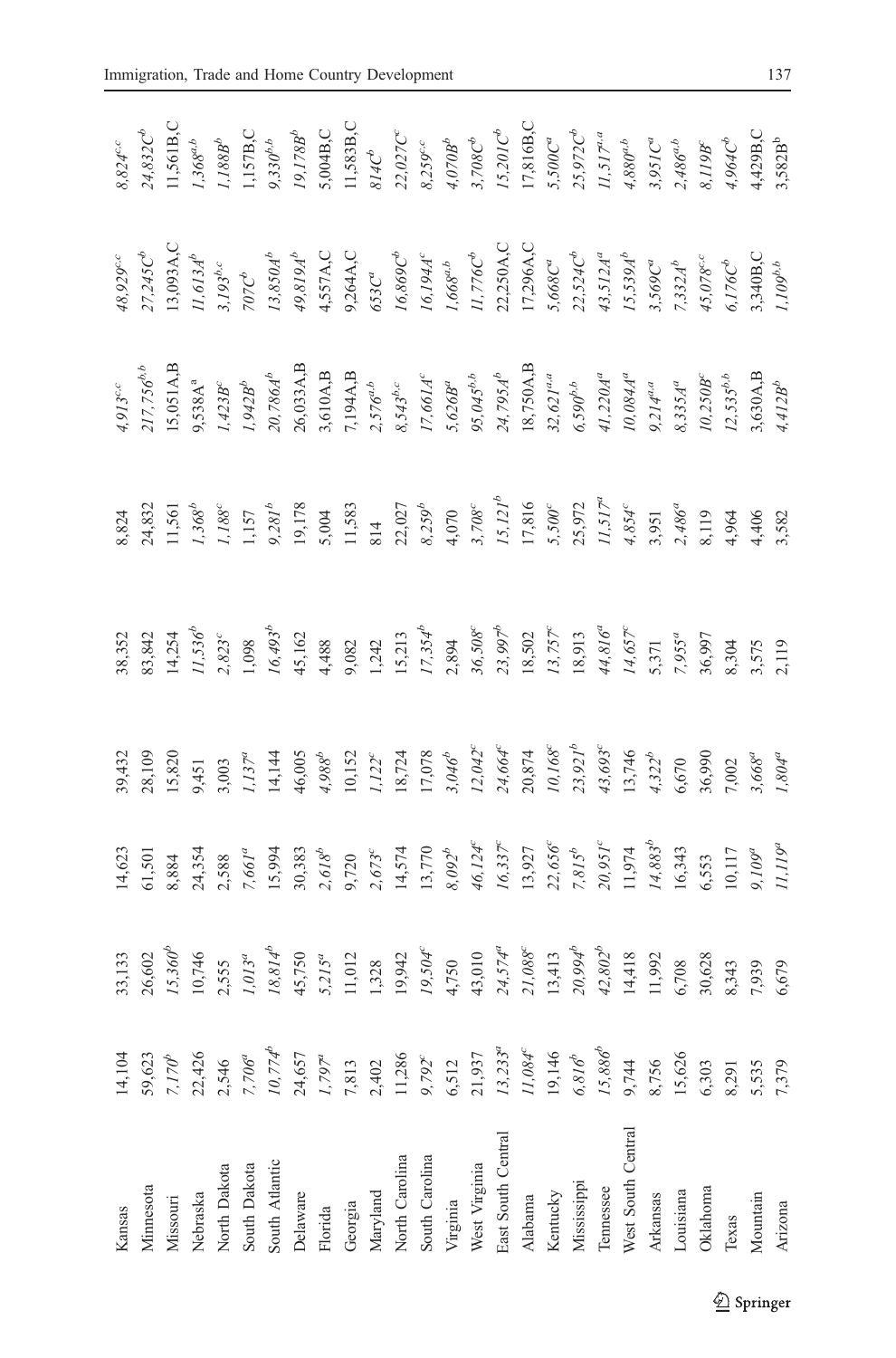| Kansas                                | 14,104                                                                              |                                                                                                                                                                                                                                      |                                                                                                                                                                           |                                                                                                                                                                                                        |                                                                                                                                                                                                                                                                 |                                                                                                                                                                                                                                                                                                                                                                                                           |                                                                                                                                                    | $8,824^{c.c}$                                                                                                                                                                                                                                                                                                                    |
|---------------------------------------|-------------------------------------------------------------------------------------|--------------------------------------------------------------------------------------------------------------------------------------------------------------------------------------------------------------------------------------|---------------------------------------------------------------------------------------------------------------------------------------------------------------------------|--------------------------------------------------------------------------------------------------------------------------------------------------------------------------------------------------------|-----------------------------------------------------------------------------------------------------------------------------------------------------------------------------------------------------------------------------------------------------------------|-----------------------------------------------------------------------------------------------------------------------------------------------------------------------------------------------------------------------------------------------------------------------------------------------------------------------------------------------------------------------------------------------------------|----------------------------------------------------------------------------------------------------------------------------------------------------|----------------------------------------------------------------------------------------------------------------------------------------------------------------------------------------------------------------------------------------------------------------------------------------------------------------------------------|
| Minnesota                             |                                                                                     |                                                                                                                                                                                                                                      |                                                                                                                                                                           |                                                                                                                                                                                                        |                                                                                                                                                                                                                                                                 |                                                                                                                                                                                                                                                                                                                                                                                                           | 48,929 <sup>c.c</sup><br>27,245C <sup>b</sup>                                                                                                      | $24,832C^{b}$                                                                                                                                                                                                                                                                                                                    |
| Missouri                              |                                                                                     |                                                                                                                                                                                                                                      |                                                                                                                                                                           |                                                                                                                                                                                                        |                                                                                                                                                                                                                                                                 |                                                                                                                                                                                                                                                                                                                                                                                                           |                                                                                                                                                    |                                                                                                                                                                                                                                                                                                                                  |
| Nebraska                              | 59,623<br>7,170 <sup>b</sup><br>22,426                                              |                                                                                                                                                                                                                                      |                                                                                                                                                                           |                                                                                                                                                                                                        |                                                                                                                                                                                                                                                                 |                                                                                                                                                                                                                                                                                                                                                                                                           |                                                                                                                                                    | 11,561B,C<br>1,368 <sup>a,b</sup>                                                                                                                                                                                                                                                                                                |
| North Dakota                          |                                                                                     |                                                                                                                                                                                                                                      |                                                                                                                                                                           |                                                                                                                                                                                                        |                                                                                                                                                                                                                                                                 |                                                                                                                                                                                                                                                                                                                                                                                                           |                                                                                                                                                    |                                                                                                                                                                                                                                                                                                                                  |
| South Dakota                          |                                                                                     |                                                                                                                                                                                                                                      |                                                                                                                                                                           |                                                                                                                                                                                                        |                                                                                                                                                                                                                                                                 |                                                                                                                                                                                                                                                                                                                                                                                                           |                                                                                                                                                    |                                                                                                                                                                                                                                                                                                                                  |
| south Atlantic                        |                                                                                     |                                                                                                                                                                                                                                      |                                                                                                                                                                           |                                                                                                                                                                                                        |                                                                                                                                                                                                                                                                 |                                                                                                                                                                                                                                                                                                                                                                                                           |                                                                                                                                                    |                                                                                                                                                                                                                                                                                                                                  |
| Delaware                              | 2,546<br>10,774°<br>10,774°<br>1,797°<br>1,813<br>1,925°<br>6,512<br>6,512<br>6,512 | 33, 133<br>26, 602<br>16, 746<br>17, 367 <sup>4</sup><br>17, 378<br>18, 877 <sup>4</sup><br>17, 388<br>19, 374, 374, 374, 372, 388<br>17, 939<br>20, 630, 388<br>21, 088<br>20, 99, 392<br>11, 19, 992<br>11, 19, 992<br>11, 19, 992 | 39,432<br>28,109<br>9,451<br>15,820<br>9,435<br>9,604<br>13,744,322<br>12,604<br>13,746<br>20,874<br>23,5037<br>23,5039,505<br>13,746<br>5,609<br>13,744,322 <sup>6</sup> | $38,352\n83,847\n14,536\n15,583\n16,493\n16,493\n17,534\n18,507\n19,508\n10,693\n11,7,354\n15,71\n16,508\n17,5397\n18,502\n19,505\n10,697\n14,8167\n15,5371\n16,657\n17,693\n18,505\n19,505\n19,505\n$ | 8,824<br>24,832<br>24,832<br>5,9281 <sup>6</sup><br>5,908 5,004<br>5,121 1,500 5,007<br>5,121 1,512<br>5,500 5,007<br>5,500 5,000 5,000 5,000 5,000 5,000 5,000 5,000 5,000 5,000 5,000 5,000 5,000 5,000 5,000 5,000 5,000 5,000 5,000 5,000 5,000 5,000 5,000 | 4, 913 <sup>ec</sup><br>217, 756 <sup>bb</sup><br>9, 538k <sup>a</sup><br>0, 538k <sup>a</sup><br>1, 423B <sup>c</sup><br>20, 786A <sup>b</sup><br>1, 1942B <sup>b</sup><br>3, 503 A <sub>d</sub> e<br>5, 5028 <sup>d</sup><br>5, 5028 <sup>4</sup><br>11, 2204 <sup>a</sup><br>10, 084A <sup>d</sup><br>10, 084A <sup>d</sup><br>10, 084A <sup>d</sup><br>10, 084A <sup>d</sup><br>10, 084A <sup>d</sup> | $13,093A, C\n11,613Ab\n707Cb\n707Cb\n13,850Ab\n14,557A, C\n15,850Ab\n16,869Cb\n16,869Cb\n17,76Cb\n17,76Cb\n17,776Cb\n17,786Cc\n17,796Cc\n17,796Cc$ | $\begin{array}{l} 1.188B^b\\ 1.157\text{B},\text{C}\\ 9,330^{b,b}\\ 19,178B^b\\ 11,583\text{B},\text{C}\\ 11,583\text{B},\text{C}\\ 22,027C^c\\ 13,708C^b\\ 17,816\text{B},\text{C}\\ 17,816\text{B},\text{C}\\ 17,816\text{B},\text{C}\\ 17,816\text{B},\text{C}\\ 17,816\text{B},\text{C}\\ 17,816\text{B},\text{C}\\ 17,816\$ |
| Florida                               |                                                                                     |                                                                                                                                                                                                                                      |                                                                                                                                                                           |                                                                                                                                                                                                        |                                                                                                                                                                                                                                                                 |                                                                                                                                                                                                                                                                                                                                                                                                           |                                                                                                                                                    |                                                                                                                                                                                                                                                                                                                                  |
|                                       |                                                                                     |                                                                                                                                                                                                                                      |                                                                                                                                                                           |                                                                                                                                                                                                        |                                                                                                                                                                                                                                                                 |                                                                                                                                                                                                                                                                                                                                                                                                           |                                                                                                                                                    |                                                                                                                                                                                                                                                                                                                                  |
|                                       |                                                                                     |                                                                                                                                                                                                                                      |                                                                                                                                                                           |                                                                                                                                                                                                        |                                                                                                                                                                                                                                                                 |                                                                                                                                                                                                                                                                                                                                                                                                           |                                                                                                                                                    |                                                                                                                                                                                                                                                                                                                                  |
| Georgia<br>Maryland<br>North Carolina |                                                                                     |                                                                                                                                                                                                                                      |                                                                                                                                                                           |                                                                                                                                                                                                        |                                                                                                                                                                                                                                                                 |                                                                                                                                                                                                                                                                                                                                                                                                           |                                                                                                                                                    |                                                                                                                                                                                                                                                                                                                                  |
| outh Carolina                         |                                                                                     |                                                                                                                                                                                                                                      |                                                                                                                                                                           |                                                                                                                                                                                                        |                                                                                                                                                                                                                                                                 |                                                                                                                                                                                                                                                                                                                                                                                                           |                                                                                                                                                    |                                                                                                                                                                                                                                                                                                                                  |
|                                       |                                                                                     |                                                                                                                                                                                                                                      |                                                                                                                                                                           |                                                                                                                                                                                                        |                                                                                                                                                                                                                                                                 |                                                                                                                                                                                                                                                                                                                                                                                                           |                                                                                                                                                    |                                                                                                                                                                                                                                                                                                                                  |
| Virginia<br>West Virginia             |                                                                                     |                                                                                                                                                                                                                                      |                                                                                                                                                                           |                                                                                                                                                                                                        |                                                                                                                                                                                                                                                                 |                                                                                                                                                                                                                                                                                                                                                                                                           |                                                                                                                                                    |                                                                                                                                                                                                                                                                                                                                  |
| ast South Central                     |                                                                                     |                                                                                                                                                                                                                                      |                                                                                                                                                                           |                                                                                                                                                                                                        |                                                                                                                                                                                                                                                                 |                                                                                                                                                                                                                                                                                                                                                                                                           |                                                                                                                                                    |                                                                                                                                                                                                                                                                                                                                  |
| Alabama                               | 11.084c                                                                             |                                                                                                                                                                                                                                      |                                                                                                                                                                           |                                                                                                                                                                                                        |                                                                                                                                                                                                                                                                 |                                                                                                                                                                                                                                                                                                                                                                                                           |                                                                                                                                                    |                                                                                                                                                                                                                                                                                                                                  |
| Kentucky                              |                                                                                     |                                                                                                                                                                                                                                      |                                                                                                                                                                           |                                                                                                                                                                                                        |                                                                                                                                                                                                                                                                 |                                                                                                                                                                                                                                                                                                                                                                                                           |                                                                                                                                                    |                                                                                                                                                                                                                                                                                                                                  |
| Mississippi                           | $19,146$<br>$5,816$ <sup>b</sup><br>$15,886$ <sup>b</sup>                           |                                                                                                                                                                                                                                      |                                                                                                                                                                           |                                                                                                                                                                                                        |                                                                                                                                                                                                                                                                 |                                                                                                                                                                                                                                                                                                                                                                                                           |                                                                                                                                                    |                                                                                                                                                                                                                                                                                                                                  |
| ennessee                              |                                                                                     |                                                                                                                                                                                                                                      |                                                                                                                                                                           |                                                                                                                                                                                                        |                                                                                                                                                                                                                                                                 |                                                                                                                                                                                                                                                                                                                                                                                                           |                                                                                                                                                    |                                                                                                                                                                                                                                                                                                                                  |
| Vest South Central                    | 9,744                                                                               |                                                                                                                                                                                                                                      |                                                                                                                                                                           |                                                                                                                                                                                                        |                                                                                                                                                                                                                                                                 |                                                                                                                                                                                                                                                                                                                                                                                                           |                                                                                                                                                    |                                                                                                                                                                                                                                                                                                                                  |
| Arkansas                              | 8,756                                                                               |                                                                                                                                                                                                                                      |                                                                                                                                                                           |                                                                                                                                                                                                        |                                                                                                                                                                                                                                                                 |                                                                                                                                                                                                                                                                                                                                                                                                           |                                                                                                                                                    |                                                                                                                                                                                                                                                                                                                                  |
| Louisiana                             |                                                                                     |                                                                                                                                                                                                                                      |                                                                                                                                                                           |                                                                                                                                                                                                        |                                                                                                                                                                                                                                                                 |                                                                                                                                                                                                                                                                                                                                                                                                           |                                                                                                                                                    |                                                                                                                                                                                                                                                                                                                                  |
| Oklahoma                              |                                                                                     |                                                                                                                                                                                                                                      |                                                                                                                                                                           |                                                                                                                                                                                                        |                                                                                                                                                                                                                                                                 |                                                                                                                                                                                                                                                                                                                                                                                                           |                                                                                                                                                    |                                                                                                                                                                                                                                                                                                                                  |
| Texas                                 |                                                                                     |                                                                                                                                                                                                                                      |                                                                                                                                                                           |                                                                                                                                                                                                        |                                                                                                                                                                                                                                                                 |                                                                                                                                                                                                                                                                                                                                                                                                           |                                                                                                                                                    |                                                                                                                                                                                                                                                                                                                                  |
| Mountain                              | 15,626<br>6,303<br>8,291<br>5,535<br>7,379                                          |                                                                                                                                                                                                                                      |                                                                                                                                                                           |                                                                                                                                                                                                        |                                                                                                                                                                                                                                                                 |                                                                                                                                                                                                                                                                                                                                                                                                           |                                                                                                                                                    |                                                                                                                                                                                                                                                                                                                                  |
| Arizona                               |                                                                                     |                                                                                                                                                                                                                                      |                                                                                                                                                                           |                                                                                                                                                                                                        |                                                                                                                                                                                                                                                                 |                                                                                                                                                                                                                                                                                                                                                                                                           |                                                                                                                                                    |                                                                                                                                                                                                                                                                                                                                  |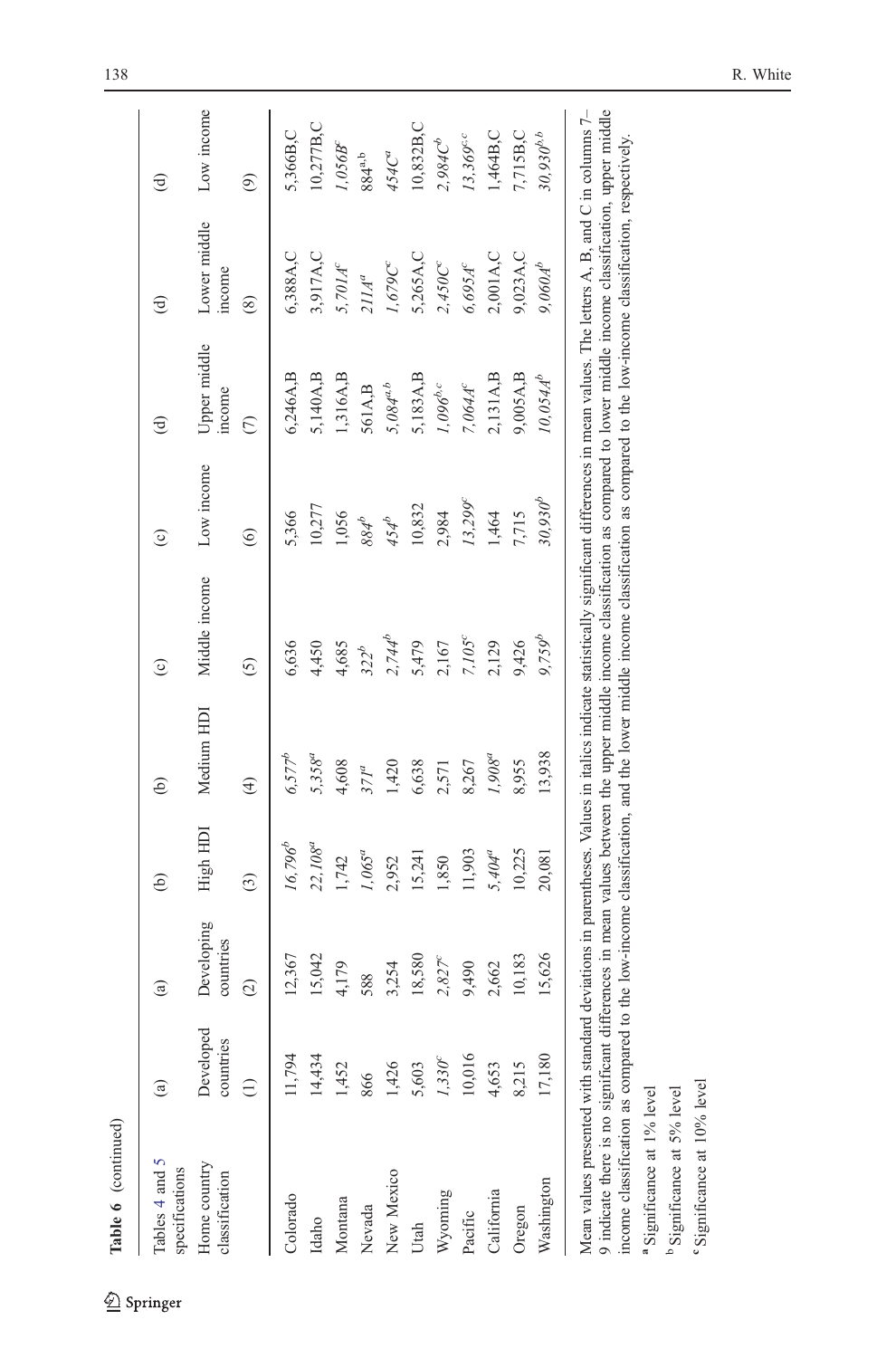| Tables 4 and 5<br>specifications                                                                                                                                                                                                                                                                                                                                                                 | ම                      | වූ                      | ê                   | ê                        | $\widehat{c}$                                                                                                                                       | $_{\odot}$       | $\widehat{\mathbf{d}}$  | ਰ                      | ਰ                     |
|--------------------------------------------------------------------------------------------------------------------------------------------------------------------------------------------------------------------------------------------------------------------------------------------------------------------------------------------------------------------------------------------------|------------------------|-------------------------|---------------------|--------------------------|-----------------------------------------------------------------------------------------------------------------------------------------------------|------------------|-------------------------|------------------------|-----------------------|
| Home country<br>classification                                                                                                                                                                                                                                                                                                                                                                   | Developed<br>countries | Developing<br>countries | High HDI            | Medium HDI               | Middle income                                                                                                                                       | Low income       | Upper middle<br>income  | Lower middle<br>income | Low income            |
|                                                                                                                                                                                                                                                                                                                                                                                                  |                        | $\widehat{\infty}$      | $\widehat{c}$       | $\widehat{\mathfrak{t}}$ | $\widehat{S}$                                                                                                                                       | $\circledcirc$   | $\widehat{\mathcal{L}}$ | $\circledS$            | $\widehat{\odot}$     |
| Colorado                                                                                                                                                                                                                                                                                                                                                                                         | 11,794                 | 12,367                  | 16,796 <sup>b</sup> | $6,577^{b}$              | 6,636                                                                                                                                               | 5,366            | 6,246A,B                | 6,388A,C               | 5,366B,C              |
| Idaho                                                                                                                                                                                                                                                                                                                                                                                            | 14,434                 | 15,042                  | $22,108^a$          | $5,358^{a}$              | 4,450                                                                                                                                               | 10,277           | 5,140A,B                | 3,917A,C               | $10,277B$ ,C          |
| Montana                                                                                                                                                                                                                                                                                                                                                                                          | 1,452                  | 4,179                   | 1,742               | 4,608                    | 4,685                                                                                                                                               | 1,056            | 1,316A,B                | 5,701A <sup>c</sup>    | $1,056B^c$            |
| Nevada                                                                                                                                                                                                                                                                                                                                                                                           | 866                    | 588                     | $1,065^a$           | $371^a$                  | $322^{b}$                                                                                                                                           | $984^b$          | 561A,B                  | $211A^a$               | $884^{a,b}$           |
| New Mexico                                                                                                                                                                                                                                                                                                                                                                                       | 1,426                  | 3,254                   | 2,952               | 1,420                    | $2,744^{b}$                                                                                                                                         | $454^b$          | $5,084^{a,b}$           | $1,679C$ <sup>c</sup>  | 454C <sup>a</sup>     |
| Utah                                                                                                                                                                                                                                                                                                                                                                                             | 5,603                  | 18,580                  | 15,241              | 6,638                    | 5,479                                                                                                                                               | 10,832           | 5,183A,B                | 5,265A,C               | 10,832B,C             |
| Wyoming                                                                                                                                                                                                                                                                                                                                                                                          | $1,330^c$              | $2.827^{c}$             | 1,850               | 2,571                    | 2,167                                                                                                                                               | 2,984            | $1,096^{b,c}$           | 2,450C <sup>c</sup>    | $2,984C^{b}$          |
| Pacific                                                                                                                                                                                                                                                                                                                                                                                          | 10,016                 | 9,490                   | 11,903              | 8,267                    | $7,105^{c}$                                                                                                                                         | $13,299^{\circ}$ | 7,064A <sup>c</sup>     | $6,695A^c$             | 13,369 <sup>c,c</sup> |
| California                                                                                                                                                                                                                                                                                                                                                                                       | 4,653                  | 2,662                   | $5,404^{a}$         | $1,908^a$                | 2,129                                                                                                                                               | 1,464            | 2,131A,B                | 2,001A,C               | 1,464B,C              |
| Oregon                                                                                                                                                                                                                                                                                                                                                                                           | 8,215                  | 10,183                  | 10,225              | 8,955                    | 9,426                                                                                                                                               | 7,715            | 9,005A,B                | 9,023A,C               | 7,715B,C              |
| Washington                                                                                                                                                                                                                                                                                                                                                                                       | 17,180                 | 15,626                  | 20,081              | 13,938                   | $9,759^{b}$                                                                                                                                         | $30,930^b$       | $10,054A^{b}$           | $9,060A^b$             | $30,930^{b,b}$        |
| 9 indicate there is no significant differences in mean values between the upper middle income classification as compared to lower middle income classification, upper middle<br>income classification as compared to the low-income classification, and the lower middle income classification as compared to the low-income classification, respectively<br>Mean values presented with standard |                        |                         |                     |                          | deviations in parentheses. Values in italics indicate statistically significant differences in mean values. The letters A, B, and C in columns $7-$ |                  |                         |                        |                       |
|                                                                                                                                                                                                                                                                                                                                                                                                  |                        |                         |                     |                          |                                                                                                                                                     |                  |                         |                        |                       |

 $\overline{a}$ 

Table 6 (continued)

Table 6 (continued)

<sup>a</sup> Significance at 1% level Significance at 1% level

<sup>b</sup> Significance at 5% level b Significance at 5% level

<sup>e</sup>Significance at 10% level Significance at 10% level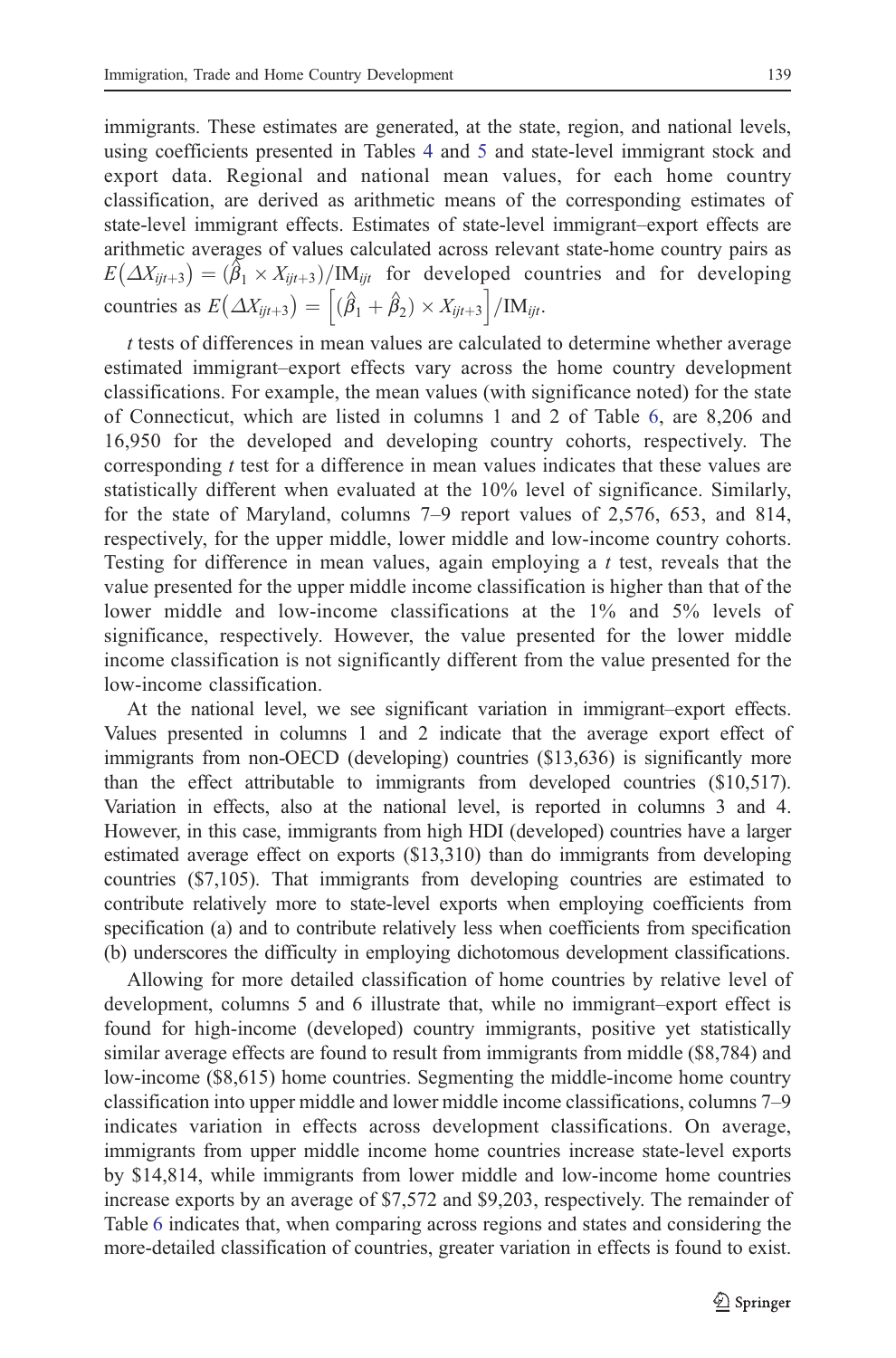immigrants. These estimates are generated, at the state, region, and national levels, using coefficients presented in Tables [4](#page-12-0) and [5](#page-13-0) and state-level immigrant stock and export data. Regional and national mean values, for each home country classification, are derived as arithmetic means of the corresponding estimates of state-level immigrant effects. Estimates of state-level immigrant–export effects are arithmetic averages of values calculated across relevant state-home country pairs as  $E(\Delta X_{ijt+3}) = (\tilde{\beta}_1 \times X_{ijt+3})/IM_{ijt}$  for developed countries and for developing countries as  $E(\Delta X_{ijt+3}) = \left[ (\hat{\beta}_1 + \hat{\beta}_2) \times X_{ijt+3} \right] / \text{IM}_{ijt}$ .

t tests of differences in mean values are calculated to determine whether average estimated immigrant–export effects vary across the home country development classifications. For example, the mean values (with significance noted) for the state of Connecticut, which are listed in columns 1 and 2 of Table [6](#page-16-0), are 8,206 and 16,950 for the developed and developing country cohorts, respectively. The corresponding t test for a difference in mean values indicates that these values are statistically different when evaluated at the 10% level of significance. Similarly, for the state of Maryland, columns 7–9 report values of 2,576, 653, and 814, respectively, for the upper middle, lower middle and low-income country cohorts. Testing for difference in mean values, again employing a t test, reveals that the value presented for the upper middle income classification is higher than that of the lower middle and low-income classifications at the 1% and 5% levels of significance, respectively. However, the value presented for the lower middle income classification is not significantly different from the value presented for the low-income classification.

At the national level, we see significant variation in immigrant–export effects. Values presented in columns 1 and 2 indicate that the average export effect of immigrants from non-OECD (developing) countries (\$13,636) is significantly more than the effect attributable to immigrants from developed countries (\$10,517). Variation in effects, also at the national level, is reported in columns 3 and 4. However, in this case, immigrants from high HDI (developed) countries have a larger estimated average effect on exports (\$13,310) than do immigrants from developing countries (\$7,105). That immigrants from developing countries are estimated to contribute relatively more to state-level exports when employing coefficients from specification (a) and to contribute relatively less when coefficients from specification (b) underscores the difficulty in employing dichotomous development classifications.

Allowing for more detailed classification of home countries by relative level of development, columns 5 and 6 illustrate that, while no immigrant–export effect is found for high-income (developed) country immigrants, positive yet statistically similar average effects are found to result from immigrants from middle (\$8,784) and low-income (\$8,615) home countries. Segmenting the middle-income home country classification into upper middle and lower middle income classifications, columns 7–9 indicates variation in effects across development classifications. On average, immigrants from upper middle income home countries increase state-level exports by \$14,814, while immigrants from lower middle and low-income home countries increase exports by an average of \$7,572 and \$9,203, respectively. The remainder of Table [6](#page-16-0) indicates that, when comparing across regions and states and considering the more-detailed classification of countries, greater variation in effects is found to exist.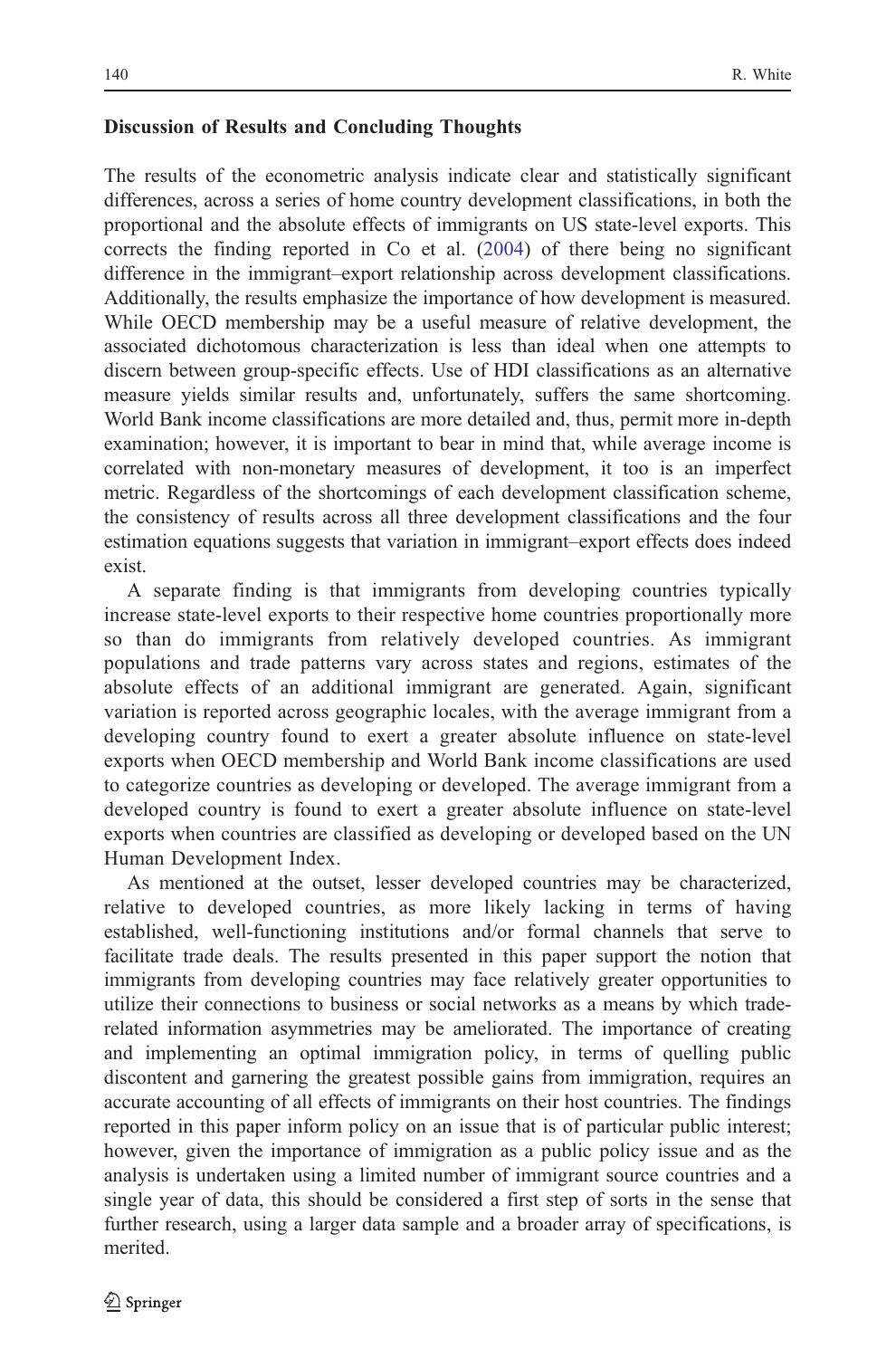### Discussion of Results and Concluding Thoughts

The results of the econometric analysis indicate clear and statistically significant differences, across a series of home country development classifications, in both the proportional and the absolute effects of immigrants on US state-level exports. This corrects the finding reported in Co et al. [\(2004](#page-22-0)) of there being no significant difference in the immigrant–export relationship across development classifications. Additionally, the results emphasize the importance of how development is measured. While OECD membership may be a useful measure of relative development, the associated dichotomous characterization is less than ideal when one attempts to discern between group-specific effects. Use of HDI classifications as an alternative measure yields similar results and, unfortunately, suffers the same shortcoming. World Bank income classifications are more detailed and, thus, permit more in-depth examination; however, it is important to bear in mind that, while average income is correlated with non-monetary measures of development, it too is an imperfect metric. Regardless of the shortcomings of each development classification scheme, the consistency of results across all three development classifications and the four estimation equations suggests that variation in immigrant–export effects does indeed exist.

A separate finding is that immigrants from developing countries typically increase state-level exports to their respective home countries proportionally more so than do immigrants from relatively developed countries. As immigrant populations and trade patterns vary across states and regions, estimates of the absolute effects of an additional immigrant are generated. Again, significant variation is reported across geographic locales, with the average immigrant from a developing country found to exert a greater absolute influence on state-level exports when OECD membership and World Bank income classifications are used to categorize countries as developing or developed. The average immigrant from a developed country is found to exert a greater absolute influence on state-level exports when countries are classified as developing or developed based on the UN Human Development Index.

As mentioned at the outset, lesser developed countries may be characterized, relative to developed countries, as more likely lacking in terms of having established, well-functioning institutions and/or formal channels that serve to facilitate trade deals. The results presented in this paper support the notion that immigrants from developing countries may face relatively greater opportunities to utilize their connections to business or social networks as a means by which traderelated information asymmetries may be ameliorated. The importance of creating and implementing an optimal immigration policy, in terms of quelling public discontent and garnering the greatest possible gains from immigration, requires an accurate accounting of all effects of immigrants on their host countries. The findings reported in this paper inform policy on an issue that is of particular public interest; however, given the importance of immigration as a public policy issue and as the analysis is undertaken using a limited number of immigrant source countries and a single year of data, this should be considered a first step of sorts in the sense that further research, using a larger data sample and a broader array of specifications, is merited.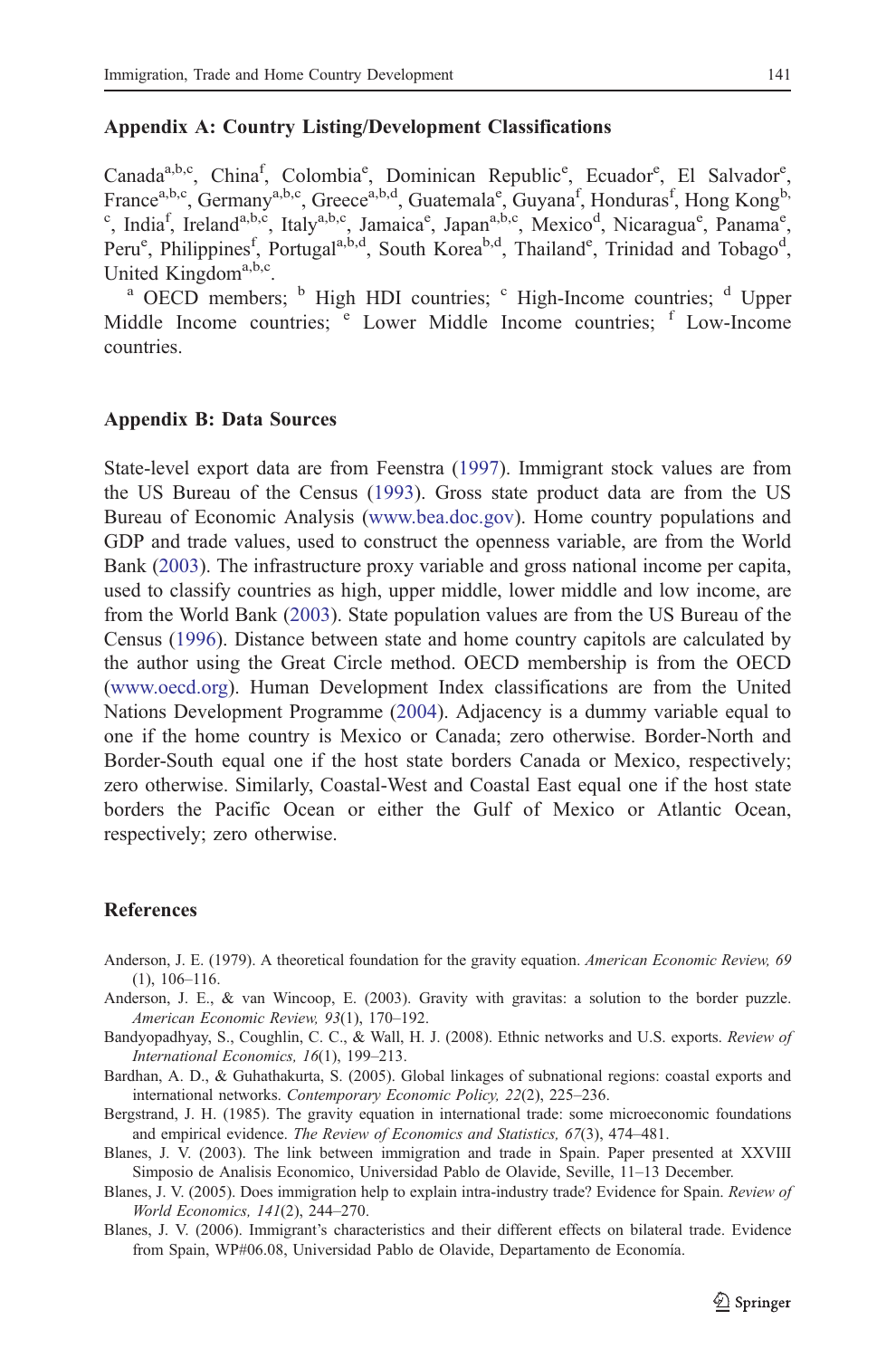### <span id="page-21-0"></span>Appendix A: Country Listing/Development Classifications

Canada<sup>a,b,c</sup>, China<sup>f</sup>, Colombia<sup>e</sup>, Dominican Republic<sup>e</sup>, Ecuador<sup>e</sup>, El Salvador<sup>e</sup>, France<sup>a,b,c</sup>, Germany<sup>a,b,c</sup>, Greece<sup>a,b,d</sup>, Guatemala<sup>e</sup>, Guyana<sup>f</sup>, Honduras<sup>f</sup>, Hong Kong<sup>b,</sup> <sup>c</sup>, India<sup>f</sup>, Ireland<sup>a,b,c</sup>, Italy<sup>a,b,c</sup>, Jamaica<sup>e</sup>, Japan<sup>a,b,c</sup>, Mexico<sup>d</sup>, Nicaragua<sup>e</sup>, Panama<sup>e</sup>, Peru<sup>e</sup>, Philippines<sup>f</sup>, Portugal<sup>a,b,d</sup>, South Korea<sup>b,d</sup>, Thailand<sup>e</sup>, Trinidad and Tobago<sup>d</sup>, United Kingdom<sup>a,b,c</sup>.<br><sup>a</sup> OECD members; <sup>b</sup> High HDI countries; <sup>c</sup> High-Income countries; <sup>d</sup> Upper

Middle Income countries; <sup>e</sup> Lower Middle Income countries; <sup>f</sup> Low-Income countries.

#### Appendix B: Data Sources

State-level export data are from Feenstra ([1997\)](#page-22-0). Immigrant stock values are from the US Bureau of the Census [\(1993](#page-22-0)). Gross state product data are from the US Bureau of Economic Analysis ([www.bea.doc.gov](http://www.bea.doc.gov)). Home country populations and GDP and trade values, used to construct the openness variable, are from the World Bank ([2003\)](#page-23-0). The infrastructure proxy variable and gross national income per capita, used to classify countries as high, upper middle, lower middle and low income, are from the World Bank [\(2003](#page-23-0)). State population values are from the US Bureau of the Census [\(1996](#page-22-0)). Distance between state and home country capitols are calculated by the author using the Great Circle method. OECD membership is from the OECD [\(www.oecd.org\)](http://www.oecd.org). Human Development Index classifications are from the United Nations Development Programme ([2004\)](#page-22-0). Adjacency is a dummy variable equal to one if the home country is Mexico or Canada; zero otherwise. Border-North and Border-South equal one if the host state borders Canada or Mexico, respectively; zero otherwise. Similarly, Coastal-West and Coastal East equal one if the host state borders the Pacific Ocean or either the Gulf of Mexico or Atlantic Ocean, respectively; zero otherwise.

#### References

- Anderson, J. E. (1979). A theoretical foundation for the gravity equation. American Economic Review, 69 (1), 106–116.
- Anderson, J. E., & van Wincoop, E. (2003). Gravity with gravitas: a solution to the border puzzle. American Economic Review, 93(1), 170–192.
- Bandyopadhyay, S., Coughlin, C. C., & Wall, H. J. (2008). Ethnic networks and U.S. exports. Review of International Economics, 16(1), 199–213.
- Bardhan, A. D., & Guhathakurta, S. (2005). Global linkages of subnational regions: coastal exports and international networks. Contemporary Economic Policy, 22(2), 225–236.
- Bergstrand, J. H. (1985). The gravity equation in international trade: some microeconomic foundations and empirical evidence. The Review of Economics and Statistics, 67(3), 474–481.
- Blanes, J. V. (2003). The link between immigration and trade in Spain. Paper presented at XXVIII Simposio de Analisis Economico, Universidad Pablo de Olavide, Seville, 11–13 December.

Blanes, J. V. (2005). Does immigration help to explain intra-industry trade? Evidence for Spain. Review of World Economics, 141(2), 244–270.

Blanes, J. V. (2006). Immigrant's characteristics and their different effects on bilateral trade. Evidence from Spain, WP#06.08, Universidad Pablo de Olavide, Departamento de Economía.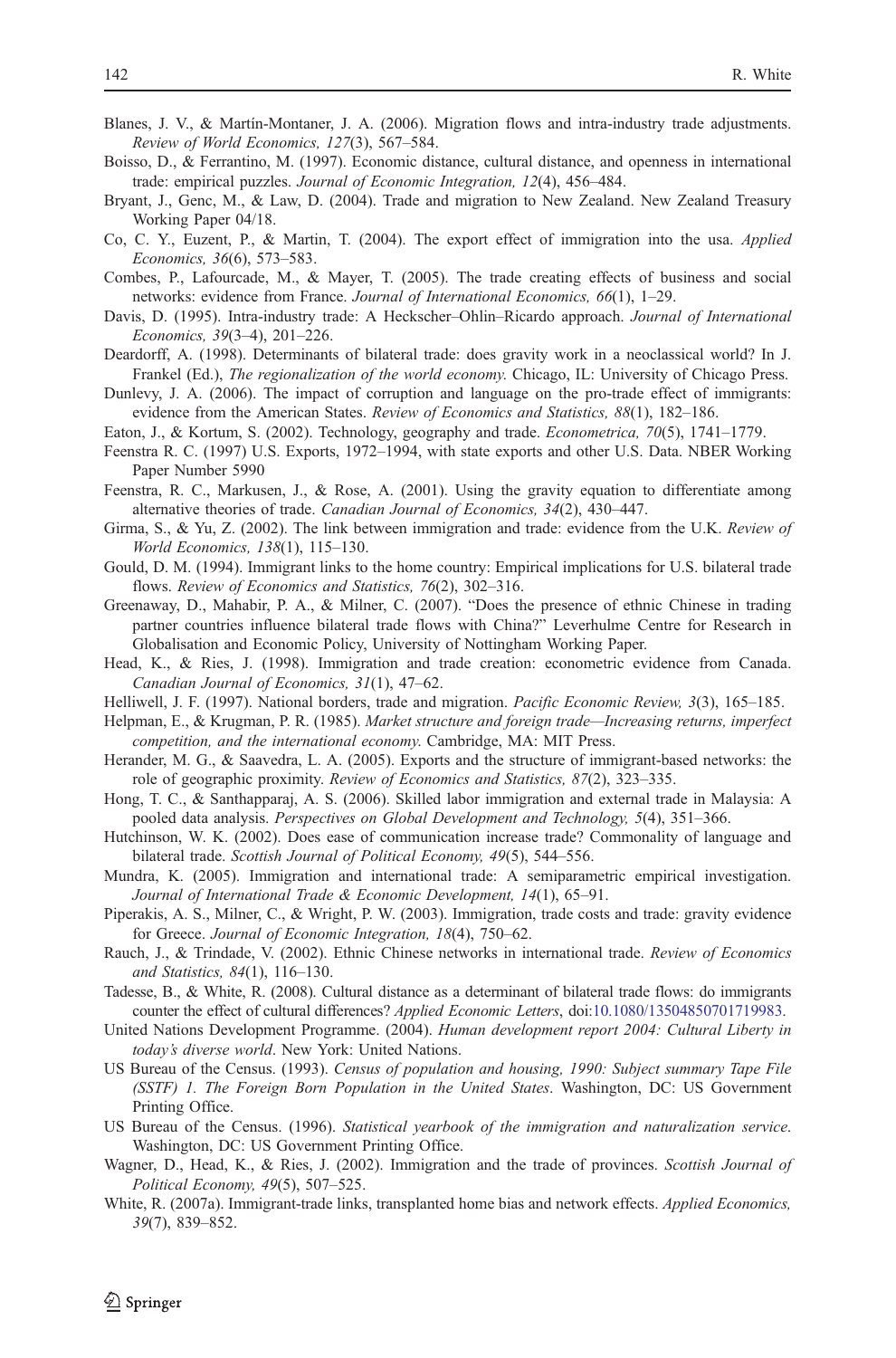- <span id="page-22-0"></span>Blanes, J. V., & Martín-Montaner, J. A. (2006). Migration flows and intra-industry trade adjustments. Review of World Economics, 127(3), 567–584.
- Boisso, D., & Ferrantino, M. (1997). Economic distance, cultural distance, and openness in international trade: empirical puzzles. Journal of Economic Integration, 12(4), 456–484.
- Bryant, J., Genc, M., & Law, D. (2004). Trade and migration to New Zealand. New Zealand Treasury Working Paper 04/18.
- Co, C. Y., Euzent, P., & Martin, T. (2004). The export effect of immigration into the usa. Applied Economics, 36(6), 573–583.
- Combes, P., Lafourcade, M., & Mayer, T. (2005). The trade creating effects of business and social networks: evidence from France. Journal of International Economics, 66(1), 1–29.
- Davis, D. (1995). Intra-industry trade: A Heckscher–Ohlin–Ricardo approach. Journal of International Economics, 39(3–4), 201–226.
- Deardorff, A. (1998). Determinants of bilateral trade: does gravity work in a neoclassical world? In J. Frankel (Ed.), The regionalization of the world economy. Chicago, IL: University of Chicago Press.
- Dunlevy, J. A. (2006). The impact of corruption and language on the pro-trade effect of immigrants: evidence from the American States. Review of Economics and Statistics, 88(1), 182–186.
- Eaton, J., & Kortum, S. (2002). Technology, geography and trade. Econometrica, 70(5), 1741–1779.
- Feenstra R. C. (1997) U.S. Exports, 1972–1994, with state exports and other U.S. Data. NBER Working Paper Number 5990
- Feenstra, R. C., Markusen, J., & Rose, A. (2001). Using the gravity equation to differentiate among alternative theories of trade. Canadian Journal of Economics, 34(2), 430–447.
- Girma, S., & Yu, Z. (2002). The link between immigration and trade: evidence from the U.K. Review of World Economics, 138(1), 115–130.
- Gould, D. M. (1994). Immigrant links to the home country: Empirical implications for U.S. bilateral trade flows. Review of Economics and Statistics, 76(2), 302-316.
- Greenaway, D., Mahabir, P. A., & Milner, C. (2007). "Does the presence of ethnic Chinese in trading partner countries influence bilateral trade flows with China?" Leverhulme Centre for Research in Globalisation and Economic Policy, University of Nottingham Working Paper.
- Head, K., & Ries, J. (1998). Immigration and trade creation: econometric evidence from Canada. Canadian Journal of Economics, 31(1), 47–62.
- Helliwell, J. F. (1997). National borders, trade and migration. Pacific Economic Review, 3(3), 165-185.
- Helpman, E., & Krugman, P. R. (1985). Market structure and foreign trade—Increasing returns, imperfect competition, and the international economy. Cambridge, MA: MIT Press.
- Herander, M. G., & Saavedra, L. A. (2005). Exports and the structure of immigrant-based networks: the role of geographic proximity. Review of Economics and Statistics, 87(2), 323–335.
- Hong, T. C., & Santhapparaj, A. S. (2006). Skilled labor immigration and external trade in Malaysia: A pooled data analysis. Perspectives on Global Development and Technology, 5(4), 351–366.
- Hutchinson, W. K. (2002). Does ease of communication increase trade? Commonality of language and bilateral trade. Scottish Journal of Political Economy, 49(5), 544-556.
- Mundra, K. (2005). Immigration and international trade: A semiparametric empirical investigation. Journal of International Trade & Economic Development, 14(1), 65–91.
- Piperakis, A. S., Milner, C., & Wright, P. W. (2003). Immigration, trade costs and trade: gravity evidence for Greece. Journal of Economic Integration, 18(4), 750–62.
- Rauch, J., & Trindade, V. (2002). Ethnic Chinese networks in international trade. Review of Economics and Statistics, 84(1), 116–130.
- Tadesse, B., & White, R. (2008). Cultural distance as a determinant of bilateral trade flows: do immigrants counter the effect of cultural differences? Applied Economic Letters, doi:[10.1080/13504850701719983.](http://dx.doi.org/10.1080/13504850701719983)
- United Nations Development Programme. (2004). Human development report 2004: Cultural Liberty in today's diverse world. New York: United Nations.
- US Bureau of the Census. (1993). Census of population and housing, 1990: Subject summary Tape File (SSTF) 1. The Foreign Born Population in the United States. Washington, DC: US Government Printing Office.
- US Bureau of the Census. (1996). Statistical yearbook of the immigration and naturalization service. Washington, DC: US Government Printing Office.
- Wagner, D., Head, K., & Ries, J. (2002). Immigration and the trade of provinces. Scottish Journal of Political Economy, 49(5), 507–525.
- White, R. (2007a). Immigrant-trade links, transplanted home bias and network effects. Applied Economics, 39(7), 839–852.